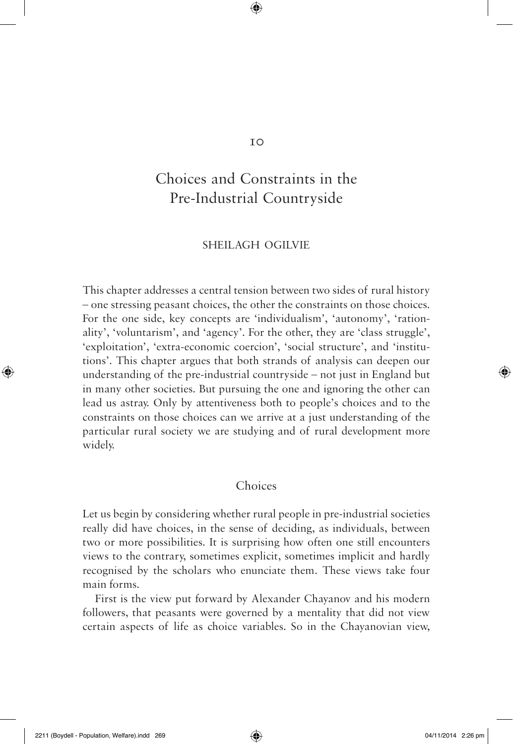# Choices and Constraints in the Pre-Industrial Countryside

### SHEILAGH OGILVIE

This chapter addresses a central tension between two sides of rural history – one stressing peasant choices, the other the constraints on those choices. For the one side, key concepts are 'individualism', 'autonomy', 'rationality', 'voluntarism', and 'agency'. For the other, they are 'class struggle', 'exploitation', 'extra-economic coercion', 'social structure', and 'institutions'. This chapter argues that both strands of analysis can deepen our understanding of the pre-industrial countryside – not just in England but in many other societies. But pursuing the one and ignoring the other can lead us astray. Only by attentiveness both to people's choices and to the constraints on those choices can we arrive at a just understanding of the particular rural society we are studying and of rural development more widely.

## Choices

Let us begin by considering whether rural people in pre-industrial societies really did have choices, in the sense of deciding, as individuals, between two or more possibilities. It is surprising how often one still encounters views to the contrary, sometimes explicit, sometimes implicit and hardly recognised by the scholars who enunciate them. These views take four main forms.

First is the view put forward by Alexander Chayanov and his modern followers, that peasants were governed by a mentality that did not view certain aspects of life as choice variables. So in the Chayanovian view,

⊕

◈

 $TO$ 

 $\bigoplus$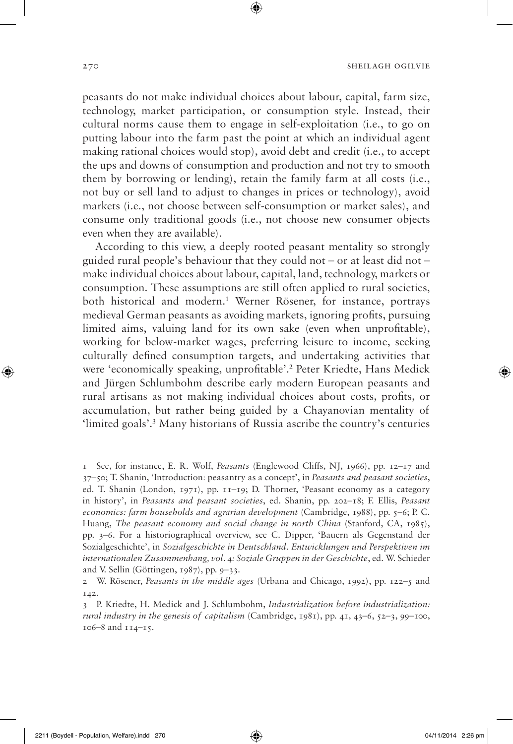peasants do not make individual choices about labour, capital, farm size, technology, market participation, or consumption style. Instead, their cultural norms cause them to engage in self-exploitation (i.e., to go on putting labour into the farm past the point at which an individual agent making rational choices would stop), avoid debt and credit (i.e., to accept the ups and downs of consumption and production and not try to smooth them by borrowing or lending), retain the family farm at all costs (i.e., not buy or sell land to adjust to changes in prices or technology), avoid markets (i.e., not choose between self-consumption or market sales), and consume only traditional goods (i.e., not choose new consumer objects even when they are available).

According to this view, a deeply rooted peasant mentality so strongly guided rural people's behaviour that they could not – or at least did not – make individual choices about labour, capital, land, technology, markets or consumption. These assumptions are still often applied to rural societies, both historical and modern.1 Werner Rösener, for instance, portrays medieval German peasants as avoiding markets, ignoring profits, pursuing limited aims, valuing land for its own sake (even when unprofitable), working for below-market wages, preferring leisure to income, seeking culturally defined consumption targets, and undertaking activities that were 'economically speaking, unprofitable'.2 Peter Kriedte, Hans Medick and Jürgen Schlumbohm describe early modern European peasants and rural artisans as not making individual choices about costs, profits, or accumulation, but rather being guided by a Chayanovian mentality of 'limited goals'.3 Many historians of Russia ascribe the country's centuries

↔

<sup>1</sup> See, for instance, E. R. Wolf, *Peasants* (Englewood Cliffs, NJ, 1966), pp. 12–17 and 37–50; T. Shanin, 'Introduction: peasantry as a concept', in *Peasants and peasant societies*, ed. T. Shanin (London, 1971), pp. 11–19; D. Thorner, 'Peasant economy as a category in history', in *Peasants and peasant societies*, ed. Shanin, pp. 202–18; F. Ellis, *Peasant economics: farm households and agrarian development* (Cambridge, 1988), pp. 5–6; P. C. Huang, *The peasant economy and social change in north China* (Stanford, CA, 1985), pp. 3–6. For a historiographical overview, see C. Dipper, 'Bauern als Gegenstand der Sozialgeschichte', in *Sozialgeschichte in Deutschland. Entwicklungen und Perspektiven im internationalen Zusammenhang, vol. 4: Soziale Gruppen in der Geschichte*, ed. W. Schieder and V. Sellin (Göttingen, 1987), pp. 9–33.

<sup>2</sup> W. Rösener, *Peasants in the middle ages* (Urbana and Chicago, 1992), pp. 122–5 and 142.

<sup>3</sup> P. Kriedte, H. Medick and J. Schlumbohm, *Industrialization before industrialization: rural industry in the genesis of capitalism* (Cambridge, 1981), pp. 41, 43–6, 52–3, 99–100, 106–8 and 114–15.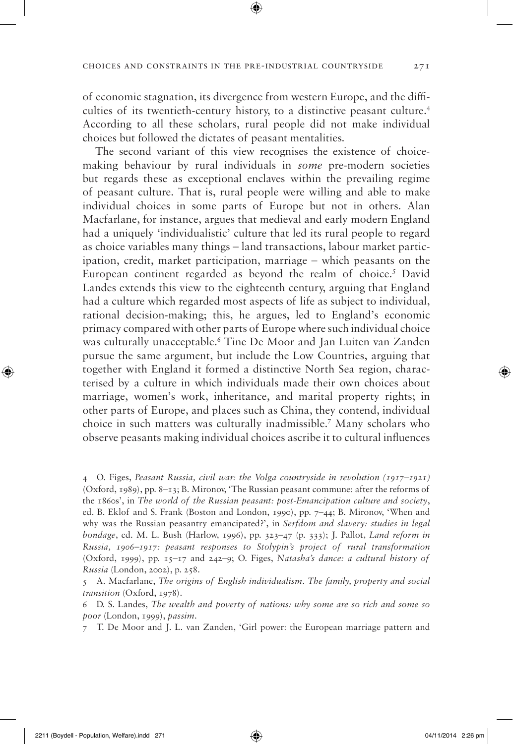The second variant of this view recognises the existence of choicemaking behaviour by rural individuals in *some* pre-modern societies but regards these as exceptional enclaves within the prevailing regime of peasant culture. That is, rural people were willing and able to make individual choices in some parts of Europe but not in others. Alan Macfarlane, for instance, argues that medieval and early modern England had a uniquely 'individualistic' culture that led its rural people to regard as choice variables many things – land transactions, labour market participation, credit, market participation, marriage – which peasants on the European continent regarded as beyond the realm of choice.<sup>5</sup> David Landes extends this view to the eighteenth century, arguing that England had a culture which regarded most aspects of life as subject to individual, rational decision-making; this, he argues, led to England's economic primacy compared with other parts of Europe where such individual choice was culturally unacceptable.6 Tine De Moor and Jan Luiten van Zanden pursue the same argument, but include the Low Countries, arguing that together with England it formed a distinctive North Sea region, characterised by a culture in which individuals made their own choices about marriage, women's work, inheritance, and marital property rights; in other parts of Europe, and places such as China, they contend, individual choice in such matters was culturally inadmissible.7 Many scholars who observe peasants making individual choices ascribe it to cultural influences

of economic stagnation, its divergence from western Europe, and the difficulties of its twentieth-century history, to a distinctive peasant culture.4 According to all these scholars, rural people did not make individual choices but followed the dictates of peasant mentalities.

◈

<sup>4</sup> O. Figes, *Peasant Russia, civil war: the Volga countryside in revolution (1917–1921)* (Oxford, 1989), pp. 8–13; B. Mironov, 'The Russian peasant commune: after the reforms of the 1860s', in *The world of the Russian peasant: post-Emancipation culture and society*, ed. B. Eklof and S. Frank (Boston and London, 1990), pp. 7–44; B. Mironov, 'When and why was the Russian peasantry emancipated?', in *Serfdom and slavery: studies in legal bondage*, ed. M. L. Bush (Harlow, 1996), pp. 323–47 (p. 333); J. Pallot, *Land reform in Russia, 1906–1917: peasant responses to Stolypin's project of rural transformation* (Oxford, 1999), pp. 15–17 and 242–9; O. Figes, *Natasha's dance: a cultural history of Russia* (London, 2002), p. 258.

<sup>5</sup> A. Macfarlane, *The origins of English individualism. The family, property and social transition* (Oxford, 1978).

<sup>6</sup> D. S. Landes, *The wealth and poverty of nations: why some are so rich and some so poor* (London, 1999), *passim*.

<sup>7</sup> T. De Moor and J. L. van Zanden, 'Girl power: the European marriage pattern and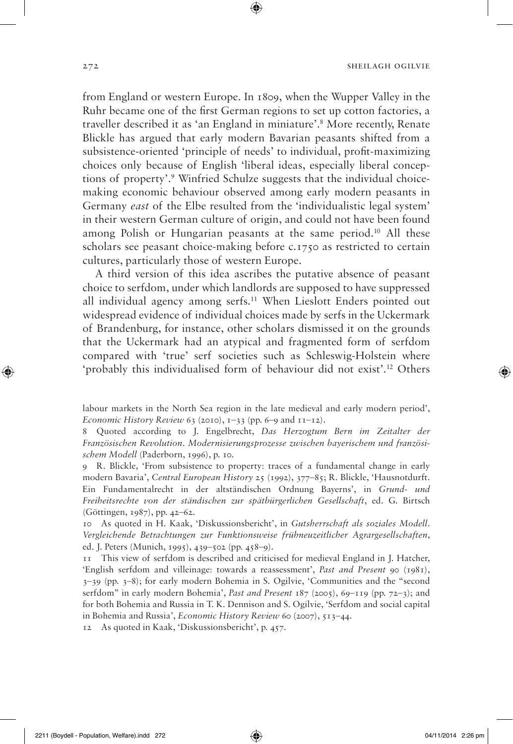from England or western Europe. In 1809, when the Wupper Valley in the Ruhr became one of the first German regions to set up cotton factories, a traveller described it as 'an England in miniature'.8 More recently, Renate Blickle has argued that early modern Bavarian peasants shifted from a subsistence-oriented 'principle of needs' to individual, profit-maximizing choices only because of English 'liberal ideas, especially liberal conceptions of property'.9 Winfried Schulze suggests that the individual choicemaking economic behaviour observed among early modern peasants in Germany *east* of the Elbe resulted from the 'individualistic legal system' in their western German culture of origin, and could not have been found among Polish or Hungarian peasants at the same period.10 All these scholars see peasant choice-making before c.1750 as restricted to certain cultures, particularly those of western Europe.

A third version of this idea ascribes the putative absence of peasant choice to serfdom, under which landlords are supposed to have suppressed all individual agency among serfs.11 When Lieslott Enders pointed out widespread evidence of individual choices made by serfs in the Uckermark of Brandenburg, for instance, other scholars dismissed it on the grounds that the Uckermark had an atypical and fragmented form of serfdom compared with 'true' serf societies such as Schleswig-Holstein where 'probably this individualised form of behaviour did not exist'.12 Others

labour markets in the North Sea region in the late medieval and early modern period', *Economic History Review* 63 (2010), 1–33 (pp. 6–9 and 11–12).

8 Quoted according to J. Engelbrecht, *Das Herzogtum Bern im Zeitalter der Französischen Revolution. Modernisierungsprozesse zwischen bayerischem und französischem Modell* (Paderborn, 1996), p. 10.

9 R. Blickle, 'From subsistence to property: traces of a fundamental change in early modern Bavaria', *Central European History* 25 (1992), 377–85; R. Blickle, 'Hausnotdurft. Ein Fundamentalrecht in der altständischen Ordnung Bayerns', in *Grund- und Freiheitsrechte von der ständischen zur spätbürgerlichen Gesellschaft*, ed. G. Birtsch (Göttingen, 1987), pp. 42–62.

10 As quoted in H. Kaak, 'Diskussionsbericht', in *Gutsherrschaft als soziales Modell. Vergleichende Betrachtungen zur Funktionsweise frühneuzeitlicher Agrargesellschaften*, ed. J. Peters (Munich, 1995), 439–502 (pp. 458–9).

11 This view of serfdom is described and criticised for medieval England in J. Hatcher, 'English serfdom and villeinage: towards a reassessment', *Past and Present* 90 (1981), 3–39 (pp. 3–8); for early modern Bohemia in S. Ogilvie, 'Communities and the "second serfdom" in early modern Bohemia', *Past and Present* 187 (2005), 69–119 (pp. 72–3); and for both Bohemia and Russia in T. K. Dennison and S. Ogilvie, 'Serfdom and social capital in Bohemia and Russia', *Economic History Review* 60 (2007), 513–44.

12 As quoted in Kaak, 'Diskussionsbericht', p. 457.

◈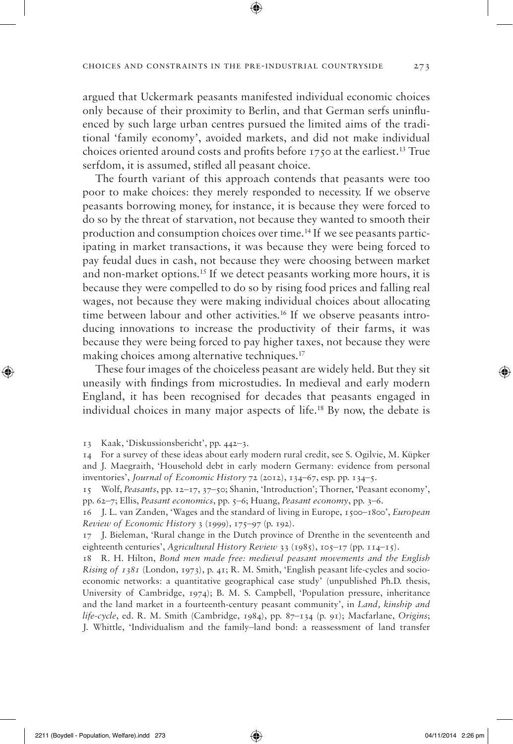argued that Uckermark peasants manifested individual economic choices only because of their proximity to Berlin, and that German serfs uninfluenced by such large urban centres pursued the limited aims of the traditional 'family economy', avoided markets, and did not make individual choices oriented around costs and profits before 1750 at the earliest.13 True serfdom, it is assumed, stifled all peasant choice.

The fourth variant of this approach contends that peasants were too poor to make choices: they merely responded to necessity. If we observe peasants borrowing money, for instance, it is because they were forced to do so by the threat of starvation, not because they wanted to smooth their production and consumption choices over time.14 If we see peasants participating in market transactions, it was because they were being forced to pay feudal dues in cash, not because they were choosing between market and non-market options.15 If we detect peasants working more hours, it is because they were compelled to do so by rising food prices and falling real wages, not because they were making individual choices about allocating time between labour and other activities.16 If we observe peasants introducing innovations to increase the productivity of their farms, it was because they were being forced to pay higher taxes, not because they were making choices among alternative techniques.<sup>17</sup>

These four images of the choiceless peasant are widely held. But they sit uneasily with findings from microstudies. In medieval and early modern England, it has been recognised for decades that peasants engaged in individual choices in many major aspects of life.18 By now, the debate is

13 Kaak, 'Diskussionsbericht', pp. 442–3.

15 Wolf, *Peasants*, pp. 12–17, 37–50; Shanin, 'Introduction'; Thorner, 'Peasant economy', pp. 62–7; Ellis, *Peasant economics*, pp. 5–6; Huang, *Peasant economy*, pp. 3–6.

16 J. L. van Zanden, 'Wages and the standard of living in Europe, 1500–1800', *European Review of Economic History* 3 (1999), 175–97 (p. 192).

17 J. Bieleman, 'Rural change in the Dutch province of Drenthe in the seventeenth and eighteenth centuries', *Agricultural History Review* 33 (1985), 105–17 (pp. 114–15).

18 R. H. Hilton, *Bond men made free: medieval peasant movements and the English Rising of 1381* (London, 1973), p. 41; R. M. Smith, 'English peasant life-cycles and socioeconomic networks: a quantitative geographical case study' (unpublished Ph.D. thesis, University of Cambridge, 1974); B. M. S. Campbell, 'Population pressure, inheritance and the land market in a fourteenth-century peasant community', in *Land, kinship and life-cycle*, ed. R. M. Smith (Cambridge, 1984), pp. 87–134 (p. 91); Macfarlane, *Origins*; J. Whittle, 'Individualism and the family–land bond: a reassessment of land transfer

<sup>14</sup> For a survey of these ideas about early modern rural credit, see S. Ogilvie, M. Küpker and J. Maegraith, 'Household debt in early modern Germany: evidence from personal inventories', *Journal of Economic History* 72 (2012), 134–67, esp. pp. 134–5.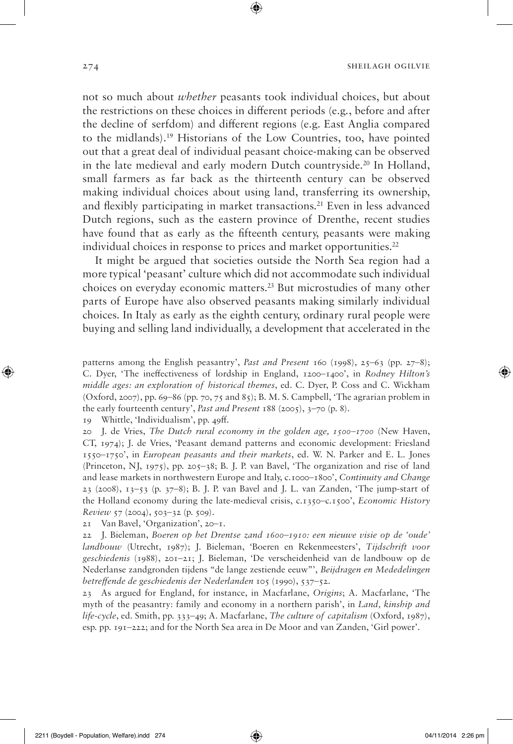not so much about *whether* peasants took individual choices, but about the restrictions on these choices in different periods (e.g., before and after the decline of serfdom) and different regions (e.g. East Anglia compared to the midlands).19 Historians of the Low Countries, too, have pointed out that a great deal of individual peasant choice-making can be observed in the late medieval and early modern Dutch countryside.20 In Holland, small farmers as far back as the thirteenth century can be observed making individual choices about using land, transferring its ownership, and flexibly participating in market transactions.<sup>21</sup> Even in less advanced Dutch regions, such as the eastern province of Drenthe, recent studies have found that as early as the fifteenth century, peasants were making individual choices in response to prices and market opportunities. $22$ 

It might be argued that societies outside the North Sea region had a more typical 'peasant' culture which did not accommodate such individual choices on everyday economic matters.23 But microstudies of many other parts of Europe have also observed peasants making similarly individual choices. In Italy as early as the eighth century, ordinary rural people were buying and selling land individually, a development that accelerated in the

patterns among the English peasantry', *Past and Present* 160 (1998), 25–63 (pp. 27–8); C. Dyer, 'The ineffectiveness of lordship in England, 1200–1400', in *Rodney Hilton's middle ages: an exploration of historical themes*, ed. C. Dyer, P. Coss and C. Wickham (Oxford, 2007), pp. 69–86 (pp. 70, 75 and 85); B. M. S. Campbell, 'The agrarian problem in the early fourteenth century', *Past and Present* 188 (2005), 3–70 (p. 8).

19 Whittle, 'Individualism', pp. 49ff.

20 J. de Vries, *The Dutch rural economy in the golden age, 1500–1700* (New Haven, CT, 1974); J. de Vries, 'Peasant demand patterns and economic development: Friesland 1550–1750', in *European peasants and their markets*, ed. W. N. Parker and E. L. Jones (Princeton, NJ, 1975), pp. 205–38; B. J. P. van Bavel, 'The organization and rise of land and lease markets in northwestern Europe and Italy, c.1000–1800', *Continuity and Change* 23 (2008), 13–53 (p. 37–8); B. J. P. van Bavel and J. L. van Zanden, 'The jump-start of the Holland economy during the late-medieval crisis, c.1350–c.1500', *Economic History Review* 57 (2004), 503–32 (p. 509).

21 Van Bavel, 'Organization', 20–1.

22 J. Bieleman, *Boeren op het Drentse zand 1600–1910: een nieuwe visie op de 'oude' landbouw* (Utrecht, 1987); J. Bieleman, 'Boeren en Rekenmeesters', *Tijdschrift voor geschiedenis* (1988), 201–21; J. Bieleman, 'De verscheidenheid van de landbouw op de Nederlanse zandgronden tijdens "de lange zestiende eeuw"', *Beijdragen en Mededelingen betreffende de geschiedenis der Nederlanden* 105 (1990), 537–52.

23 As argued for England, for instance, in Macfarlane, *Origins*; A. Macfarlane, 'The myth of the peasantry: family and economy in a northern parish', in *Land, kinship and life-cycle*, ed. Smith, pp. 333–49; A. Macfarlane, *The culture of capitalism* (Oxford, 1987), esp. pp. 191–222; and for the North Sea area in De Moor and van Zanden, 'Girl power'.

↔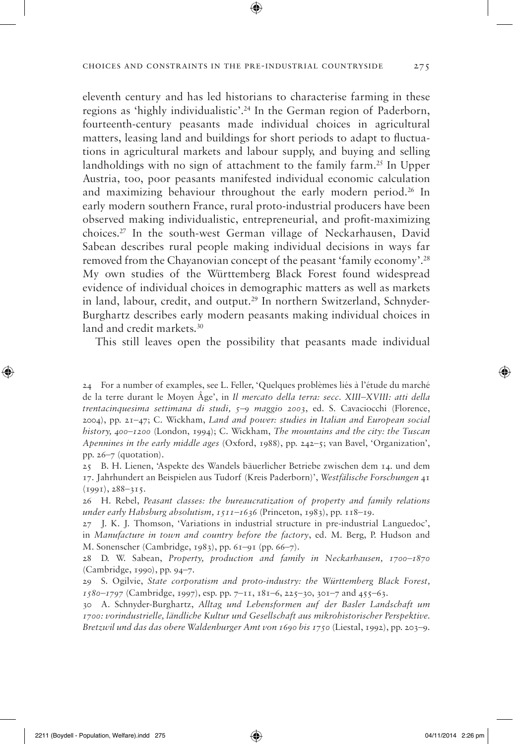eleventh century and has led historians to characterise farming in these regions as 'highly individualistic'.24 In the German region of Paderborn, fourteenth-century peasants made individual choices in agricultural matters, leasing land and buildings for short periods to adapt to fluctuations in agricultural markets and labour supply, and buying and selling landholdings with no sign of attachment to the family farm.<sup>25</sup> In Upper Austria, too, poor peasants manifested individual economic calculation and maximizing behaviour throughout the early modern period.<sup>26</sup> In early modern southern France, rural proto-industrial producers have been observed making individualistic, entrepreneurial, and profit-maximizing choices.27 In the south-west German village of Neckarhausen, David Sabean describes rural people making individual decisions in ways far removed from the Chayanovian concept of the peasant 'family economy'.28 My own studies of the Württemberg Black Forest found widespread evidence of individual choices in demographic matters as well as markets in land, labour, credit, and output.29 In northern Switzerland, Schnyder-Burghartz describes early modern peasants making individual choices in land and credit markets.<sup>30</sup>

This still leaves open the possibility that peasants made individual

24 For a number of examples, see L. Feller, 'Quelques problèmes liés à l'étude du marché de la terre durant le Moyen Âge', in *Il mercato della terra: secc. XIII–XVIII: atti della trentacinquesima settimana di studi, 5–9 maggio 2003*, ed. S. Cavaciocchi (Florence, 2004), pp. 21–47; C. Wickham, *Land and power: studies in Italian and European social history, 400–1200* (London, 1994); C. Wickham, *The mountains and the city: the Tuscan Apennines in the early middle ages* (Oxford, 1988), pp. 242–5; van Bavel, 'Organization', pp. 26–7 (quotation).

25 B. H. Lienen, 'Aspekte des Wandels bäuerlicher Betriebe zwischen dem 14. und dem 17. Jahrhundert an Beispielen aus Tudorf (Kreis Paderborn)', *Westfälische Forschungen* 41 (1991), 288–315.

26 H. Rebel, *Peasant classes: the bureaucratization of property and family relations under early Habsburg absolutism, 1511–1636* (Princeton, 1983), pp. 118–19.

27 J. K. J. Thomson, 'Variations in industrial structure in pre-industrial Languedoc', in *Manufacture in town and country before the factory*, ed. M. Berg, P. Hudson and M. Sonenscher (Cambridge, 1983), pp. 61–91 (pp. 66–7).

28 D. W. Sabean, *Property, production and family in Neckarhausen, 1700–1870* (Cambridge, 1990), pp. 94–7.

29 S. Ogilvie, *State corporatism and proto-industry: the Württemberg Black Forest, 1580–1797* (Cambridge, 1997), esp. pp. 7–11, 181–6, 225–30, 301–7 and 455–63.

30 A. Schnyder-Burghartz, *Alltag und Lebensformen auf der Basler Landschaft um 1700: vorindustrielle, ländliche Kultur und Gesellschaft aus mikrohistorischer Perspektive. Bretzwil und das das obere Waldenburger Amt von 1690 bis 1750* (Liestal, 1992), pp. 203–9.

⊕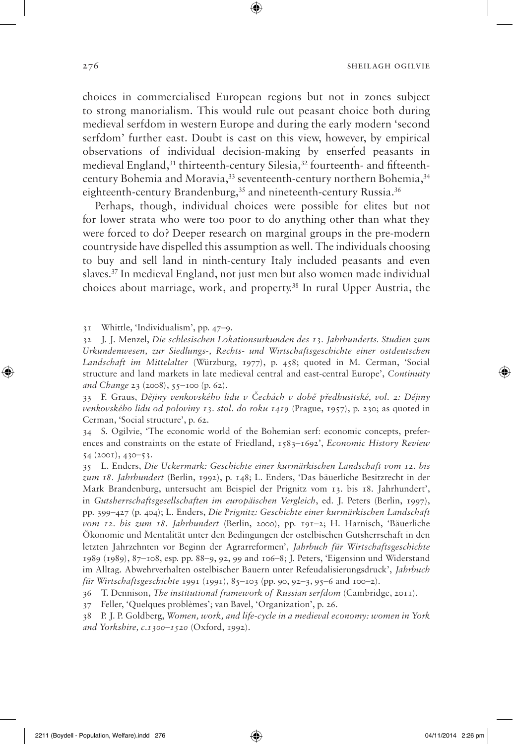choices in commercialised European regions but not in zones subject to strong manorialism. This would rule out peasant choice both during medieval serfdom in western Europe and during the early modern 'second serfdom' further east. Doubt is cast on this view, however, by empirical observations of individual decision-making by enserfed peasants in medieval England,<sup>31</sup> thirteenth-century Silesia,<sup>32</sup> fourteenth- and fifteenthcentury Bohemia and Moravia,<sup>33</sup> seventeenth-century northern Bohemia,<sup>34</sup> eighteenth-century Brandenburg,<sup>35</sup> and nineteenth-century Russia.<sup>36</sup>

Perhaps, though, individual choices were possible for elites but not for lower strata who were too poor to do anything other than what they were forced to do? Deeper research on marginal groups in the pre-modern countryside have dispelled this assumption as well. The individuals choosing to buy and sell land in ninth-century Italy included peasants and even slaves.37 In medieval England, not just men but also women made individual choices about marriage, work, and property.38 In rural Upper Austria, the

31 Whittle, 'Individualism', pp. 47–9.

32 J. J. Menzel, *Die schlesischen Lokationsurkunden des 13. Jahrhunderts. Studien zum Urkundenwesen, zur Siedlungs-, Rechts- und Wirtschaftsgeschichte einer ostdeutschen Landschaft im Mittelalter* (Würzburg, 1977), p. 458; quoted in M. Cerman, 'Social structure and land markets in late medieval central and east-central Europe', *Continuity and Change* 23 (2008), 55–100 (p. 62).

33 F. Graus, *Dějiny venkovského lidu v Čechách v době předhusitské, vol. 2: Dějiny venkovského lidu od poloviny 13. stol. do roku 1419* (Prague, 1957), p. 230; as quoted in Cerman, 'Social structure', p. 62.

34 S. Ogilvie, 'The economic world of the Bohemian serf: economic concepts, preferences and constraints on the estate of Friedland, 1583–1692', *Economic History Review* 54 (2001), 430–53.

35 L. Enders, *Die Uckermark: Geschichte einer kurmärkischen Landschaft vom 12. bis zum 18. Jahrhundert* (Berlin, 1992), p. 148; L. Enders, 'Das bäuerliche Besitzrecht in der Mark Brandenburg, untersucht am Beispiel der Prignitz vom 13. bis 18. Jahrhundert', in *Gutsherrschaftsgesellschaften im europäischen Vergleich*, ed. J. Peters (Berlin, 1997), pp. 399–427 (p. 404); L. Enders, *Die Prignitz: Geschichte einer kurmärkischen Landschaft vom 12. bis zum 18. Jahrhundert* (Berlin, 2000), pp. 191–2; H. Harnisch, 'Bäuerliche Ökonomie und Mentalität unter den Bedingungen der ostelbischen Gutsherrschaft in den letzten Jahrzehnten vor Beginn der Agrarreformen', *Jahrbuch für Wirtschaftsgeschichte* 1989 (1989), 87–108, esp. pp. 88–9, 92, 99 and 106–8; J. Peters, 'Eigensinn und Widerstand im Alltag. Abwehrverhalten ostelbischer Bauern unter Refeudalisierungsdruck', *Jahrbuch für Wirtschaftsgeschichte* 1991 (1991), 85–103 (pp. 90, 92–3, 95–6 and 100–2).

36 T. Dennison, *The institutional framework of Russian serfdom* (Cambridge, 2011).

37 Feller, 'Quelques problèmes'; van Bavel, 'Organization', p. 26.

38 P. J. P. Goldberg, *Women, work, and life-cycle in a medieval economy: women in York and Yorkshire, c.1300–1520* (Oxford, 1992).

↔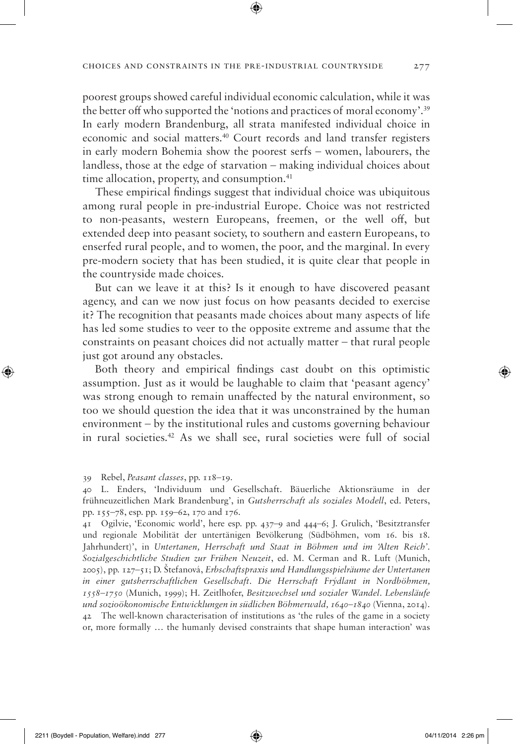poorest groups showed careful individual economic calculation, while it was the better off who supported the 'notions and practices of moral economy'.39 In early modern Brandenburg, all strata manifested individual choice in economic and social matters.40 Court records and land transfer registers in early modern Bohemia show the poorest serfs – women, labourers, the landless, those at the edge of starvation – making individual choices about time allocation, property, and consumption.<sup>41</sup>

These empirical findings suggest that individual choice was ubiquitous among rural people in pre-industrial Europe. Choice was not restricted to non-peasants, western Europeans, freemen, or the well off, but extended deep into peasant society, to southern and eastern Europeans, to enserfed rural people, and to women, the poor, and the marginal. In every pre-modern society that has been studied, it is quite clear that people in the countryside made choices.

But can we leave it at this? Is it enough to have discovered peasant agency, and can we now just focus on how peasants decided to exercise it? The recognition that peasants made choices about many aspects of life has led some studies to veer to the opposite extreme and assume that the constraints on peasant choices did not actually matter – that rural people just got around any obstacles.

Both theory and empirical findings cast doubt on this optimistic assumption. Just as it would be laughable to claim that 'peasant agency' was strong enough to remain unaffected by the natural environment, so too we should question the idea that it was unconstrained by the human environment – by the institutional rules and customs governing behaviour in rural societies.42 As we shall see, rural societies were full of social

39 Rebel, *Peasant classes*, pp. 118–19.

41 Ogilvie, 'Economic world', here esp. pp. 437–9 and 444–6; J. Grulich, 'Besitztransfer und regionale Mobilität der untertänigen Bevölkerung (Südböhmen, vom 16. bis 18. Jahrhundert)', in *Untertanen, Herrschaft und Staat in Böhmen und im 'Alten Reich'. Sozialgeschichtliche Studien zur Frühen Neuzeit*, ed. M. Cerman and R. Luft (Munich, 2005), pp. 127–51; D. Štefanová, *Erbschaftspraxis und Handlungsspielräume der Untertanen in einer gutsherrschaftlichen Gesellschaft. Die Herrschaft Frýdlant in Nordböhmen, 1558–1750* (Munich, 1999); H. Zeitlhofer, *Besitzwechsel und sozialer Wandel. Lebensläufe und sozioökonomische Entwicklungen in südlichen Böhmerwald, 1640–1840* (Vienna, 2014). 42 The well-known characterisation of institutions as 'the rules of the game in a society or, more formally … the humanly devised constraints that shape human interaction' was

↔

<sup>40</sup> L. Enders, 'Individuum und Gesellschaft. Bäuerliche Aktionsräume in der frühneuzeitlichen Mark Brandenburg', in *Gutsherrschaft als soziales Modell*, ed. Peters, pp. 155–78, esp. pp. 159–62, 170 and 176.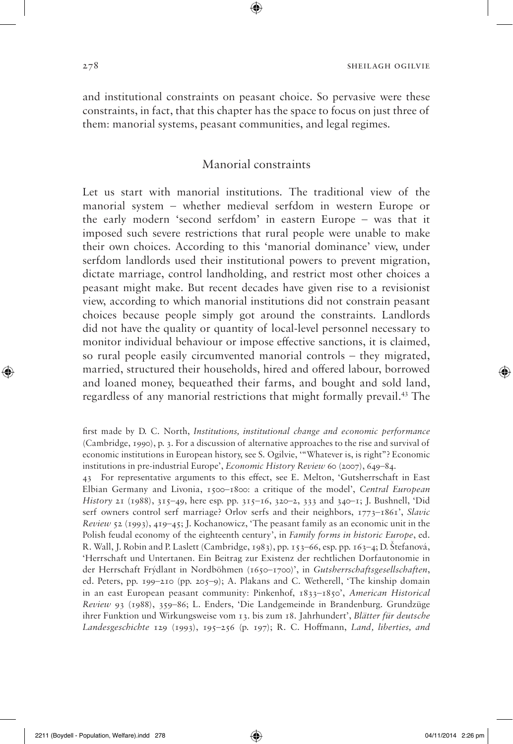and institutional constraints on peasant choice. So pervasive were these constraints, in fact, that this chapter has the space to focus on just three of them: manorial systems, peasant communities, and legal regimes.

## Manorial constraints

Let us start with manorial institutions. The traditional view of the manorial system – whether medieval serfdom in western Europe or the early modern 'second serfdom' in eastern Europe – was that it imposed such severe restrictions that rural people were unable to make their own choices. According to this 'manorial dominance' view, under serfdom landlords used their institutional powers to prevent migration, dictate marriage, control landholding, and restrict most other choices a peasant might make. But recent decades have given rise to a revisionist view, according to which manorial institutions did not constrain peasant choices because people simply got around the constraints. Landlords did not have the quality or quantity of local-level personnel necessary to monitor individual behaviour or impose effective sanctions, it is claimed, so rural people easily circumvented manorial controls – they migrated, married, structured their households, hired and offered labour, borrowed and loaned money, bequeathed their farms, and bought and sold land, regardless of any manorial restrictions that might formally prevail.43 The

43 For representative arguments to this effect, see E. Melton, 'Gutsherrschaft in East Elbian Germany and Livonia, 1500–1800: a critique of the model', *Central European History* 21 (1988), 315–49, here esp. pp. 315–16, 320–2, 333 and 340–1; J. Bushnell, 'Did serf owners control serf marriage? Orlov serfs and their neighbors, 1773–1861', *Slavic Review* 52 (1993), 419–45; J. Kochanowicz, 'The peasant family as an economic unit in the Polish feudal economy of the eighteenth century', in *Family forms in historic Europe*, ed. R. Wall, J. Robin and P. Laslett (Cambridge, 1983), pp. 153–66, esp. pp. 163–4; D. Štefanová, 'Herrschaft und Untertanen. Ein Beitrag zur Existenz der rechtlichen Dorfautonomie in der Herrschaft Frýdlant in Nordböhmen (1650–1700)', in *Gutsherrschaftsgesellschaften*, ed. Peters, pp. 199–210 (pp. 205–9); A. Plakans and C. Wetherell, 'The kinship domain in an east European peasant community: Pinkenhof, 1833–1850', *American Historical Review* 93 (1988), 359–86; L. Enders, 'Die Landgemeinde in Brandenburg. Grundzüge ihrer Funktion und Wirkungsweise vom 13. bis zum 18. Jahrhundert', *Blätter für deutsche Landesgeschichte* 129 (1993), 195–256 (p. 197); R. C. Hoffmann, *Land, liberties, and* 

◈

first made by D. C. North, *Institutions, institutional change and economic performance* (Cambridge, 1990), p. 3. For a discussion of alternative approaches to the rise and survival of economic institutions in European history, see S. Ogilvie, '"Whatever is, is right"? Economic institutions in pre-industrial Europe', *Economic History Review* 60 (2007), 649–84.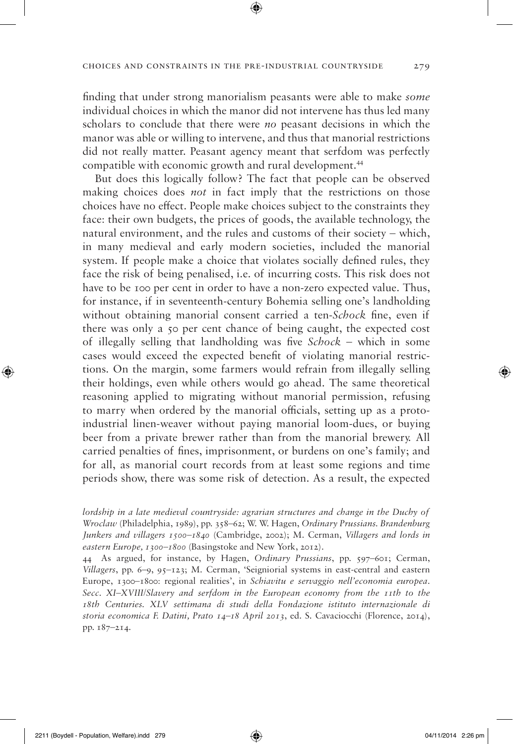finding that under strong manorialism peasants were able to make *some* individual choices in which the manor did not intervene has thus led many scholars to conclude that there were *no* peasant decisions in which the manor was able or willing to intervene, and thus that manorial restrictions did not really matter. Peasant agency meant that serfdom was perfectly compatible with economic growth and rural development.<sup>44</sup>

But does this logically follow? The fact that people can be observed making choices does *not* in fact imply that the restrictions on those choices have no effect. People make choices subject to the constraints they face: their own budgets, the prices of goods, the available technology, the natural environment, and the rules and customs of their society – which, in many medieval and early modern societies, included the manorial system. If people make a choice that violates socially defined rules, they face the risk of being penalised, i.e. of incurring costs. This risk does not have to be 100 per cent in order to have a non-zero expected value. Thus, for instance, if in seventeenth-century Bohemia selling one's landholding without obtaining manorial consent carried a ten-*Schock* fine, even if there was only a 50 per cent chance of being caught, the expected cost of illegally selling that landholding was five *Schock* – which in some cases would exceed the expected benefit of violating manorial restrictions. On the margin, some farmers would refrain from illegally selling their holdings, even while others would go ahead. The same theoretical reasoning applied to migrating without manorial permission, refusing to marry when ordered by the manorial officials, setting up as a protoindustrial linen-weaver without paying manorial loom-dues, or buying beer from a private brewer rather than from the manorial brewery. All carried penalties of fines, imprisonment, or burdens on one's family; and for all, as manorial court records from at least some regions and time periods show, there was some risk of detection. As a result, the expected

*lordship in a late medieval countryside: agrarian structures and change in the Duchy of Wroclaw* (Philadelphia, 1989), pp. 358–62; W. W. Hagen, *Ordinary Prussians. Brandenburg Junkers and villagers 1500–1840* (Cambridge, 2002); M. Cerman, *Villagers and lords in eastern Europe, 1300–1800* (Basingstoke and New York, 2012).

44 As argued, for instance, by Hagen, *Ordinary Prussians*, pp. 597–601; Cerman, *Villagers*, pp. 6–9, 95–123; M. Cerman, 'Seigniorial systems in east-central and eastern Europe, 1300–1800: regional realities', in *Schiavitu e servaggio nell'economia europea. Secc. XI–XVIII/Slavery and serfdom in the European economy from the 11th to the 18th Centuries. XLV settimana di studi della Fondazione istituto internazionale di storia economica F. Datini, Prato 14–18 April 2013*, ed. S. Cavaciocchi (Florence, 2014), pp. 187–214.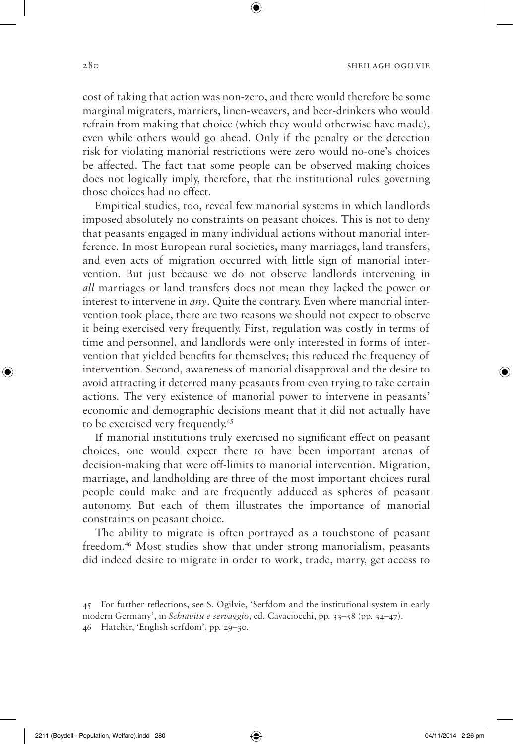cost of taking that action was non-zero, and there would therefore be some marginal migraters, marriers, linen-weavers, and beer-drinkers who would refrain from making that choice (which they would otherwise have made), even while others would go ahead. Only if the penalty or the detection risk for violating manorial restrictions were zero would no-one's choices be affected. The fact that some people can be observed making choices does not logically imply, therefore, that the institutional rules governing those choices had no effect.

⊕

Empirical studies, too, reveal few manorial systems in which landlords imposed absolutely no constraints on peasant choices. This is not to deny that peasants engaged in many individual actions without manorial interference. In most European rural societies, many marriages, land transfers, and even acts of migration occurred with little sign of manorial intervention. But just because we do not observe landlords intervening in *all* marriages or land transfers does not mean they lacked the power or interest to intervene in *any*. Quite the contrary. Even where manorial intervention took place, there are two reasons we should not expect to observe it being exercised very frequently. First, regulation was costly in terms of time and personnel, and landlords were only interested in forms of intervention that yielded benefits for themselves; this reduced the frequency of intervention. Second, awareness of manorial disapproval and the desire to avoid attracting it deterred many peasants from even trying to take certain actions. The very existence of manorial power to intervene in peasants' economic and demographic decisions meant that it did not actually have to be exercised very frequently.45

If manorial institutions truly exercised no significant effect on peasant choices, one would expect there to have been important arenas of decision-making that were off-limits to manorial intervention. Migration, marriage, and landholding are three of the most important choices rural people could make and are frequently adduced as spheres of peasant autonomy. But each of them illustrates the importance of manorial constraints on peasant choice.

The ability to migrate is often portrayed as a touchstone of peasant freedom.46 Most studies show that under strong manorialism, peasants did indeed desire to migrate in order to work, trade, marry, get access to

◈

♠

<sup>45</sup> For further reflections, see S. Ogilvie, 'Serfdom and the institutional system in early modern Germany', in *Schiavitu e servaggio*, ed. Cavaciocchi, pp. 33–58 (pp. 34–47).

<sup>46</sup> Hatcher, 'English serfdom', pp. 29–30.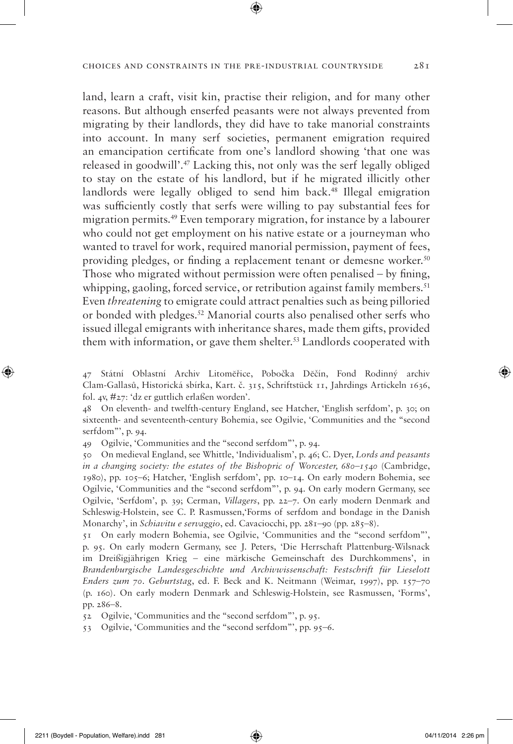#### CHOICES AND CONSTRAINTS IN THE PRE-INDUSTRIAL COUNTRYSIDE 281

land, learn a craft, visit kin, practise their religion, and for many other reasons. But although enserfed peasants were not always prevented from migrating by their landlords, they did have to take manorial constraints into account. In many serf societies, permanent emigration required an emancipation certificate from one's landlord showing 'that one was released in goodwill'.47 Lacking this, not only was the serf legally obliged to stay on the estate of his landlord, but if he migrated illicitly other landlords were legally obliged to send him back.<sup>48</sup> Illegal emigration was sufficiently costly that serfs were willing to pay substantial fees for migration permits.49 Even temporary migration, for instance by a labourer who could not get employment on his native estate or a journeyman who wanted to travel for work, required manorial permission, payment of fees, providing pledges, or finding a replacement tenant or demesne worker.50 Those who migrated without permission were often penalised – by fining, whipping, gaoling, forced service, or retribution against family members.<sup>51</sup> Even *threatening* to emigrate could attract penalties such as being pilloried or bonded with pledges.52 Manorial courts also penalised other serfs who issued illegal emigrants with inheritance shares, made them gifts, provided them with information, or gave them shelter.<sup>53</sup> Landlords cooperated with

47 Státní Oblastní Archiv Litomĕřice, Pobočka Dĕčín, Fond Rodinný archiv Clam-Gallasů, Historická sbírka, Kart. č. 315, Schriftstück 11, Jahrdings Artickeln 1636, fol. 4v, #27: 'dz er guttlich erlaßen worden'.

48 On eleventh- and twelfth-century England, see Hatcher, 'English serfdom', p. 30; on sixteenth- and seventeenth-century Bohemia, see Ogilvie, 'Communities and the "second serfdom"', p. 94.

49 Ogilvie, 'Communities and the "second serfdom"', p. 94.

50 On medieval England, see Whittle, 'Individualism', p. 46; C. Dyer, *Lords and peasants in a changing society: the estates of the Bishopric of Worcester, 680–1540* (Cambridge, 1980), pp. 105–6; Hatcher, 'English serfdom', pp. 10–14. On early modern Bohemia, see Ogilvie, 'Communities and the "second serfdom"', p. 94. On early modern Germany, see Ogilvie, 'Serfdom', p. 39; Cerman, *Villagers*, pp. 22–7. On early modern Denmark and Schleswig-Holstein, see C. P. Rasmussen,'Forms of serfdom and bondage in the Danish Monarchy', in *Schiavitu e servaggio*, ed. Cavaciocchi, pp. 281–90 (pp. 285–8).

51 On early modern Bohemia, see Ogilvie, 'Communities and the "second serfdom"', p. 95. On early modern Germany, see J. Peters, 'Die Herrschaft Plattenburg-Wilsnack im Dreißigjährigen Krieg – eine märkische Gemeinschaft des Durchkommens', in *Brandenburgische Landesgeschichte und Archivwissenschaft: Festschrift für Lieselott Enders zum 70. Geburtstag*, ed. F. Beck and K. Neitmann (Weimar, 1997), pp. 157–70 (p. 160). On early modern Denmark and Schleswig-Holstein, see Rasmussen, 'Forms', pp. 286–8.

52 Ogilvie, 'Communities and the "second serfdom"', p. 95.

53 Ogilvie, 'Communities and the "second serfdom"', pp. 95–6.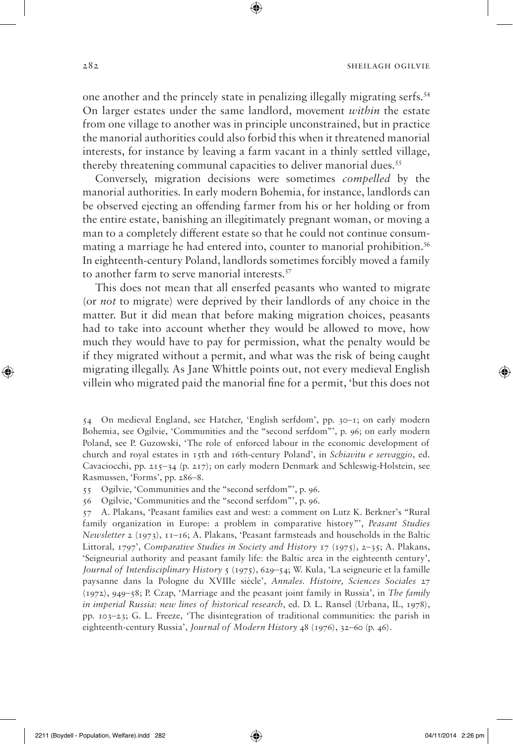one another and the princely state in penalizing illegally migrating serfs.54 On larger estates under the same landlord, movement *within* the estate from one village to another was in principle unconstrained, but in practice the manorial authorities could also forbid this when it threatened manorial interests, for instance by leaving a farm vacant in a thinly settled village, thereby threatening communal capacities to deliver manorial dues.<sup>55</sup>

Conversely, migration decisions were sometimes *compelled* by the manorial authorities. In early modern Bohemia, for instance, landlords can be observed ejecting an offending farmer from his or her holding or from the entire estate, banishing an illegitimately pregnant woman, or moving a man to a completely different estate so that he could not continue consummating a marriage he had entered into, counter to manorial prohibition.<sup>56</sup> In eighteenth-century Poland, landlords sometimes forcibly moved a family to another farm to serve manorial interests.<sup>57</sup>

This does not mean that all enserfed peasants who wanted to migrate (or *not* to migrate) were deprived by their landlords of any choice in the matter. But it did mean that before making migration choices, peasants had to take into account whether they would be allowed to move, how much they would have to pay for permission, what the penalty would be if they migrated without a permit, and what was the risk of being caught migrating illegally. As Jane Whittle points out, not every medieval English villein who migrated paid the manorial fine for a permit, 'but this does not

55 Ogilvie, 'Communities and the "second serfdom"', p. 96.

56 Ogilvie, 'Communities and the "second serfdom"', p. 96.

57 A. Plakans, 'Peasant families east and west: a comment on Lutz K. Berkner's "Rural family organization in Europe: a problem in comparative history"', *Peasant Studies Newsletter* 2 (1973), 11–16; A. Plakans, 'Peasant farmsteads and households in the Baltic Littoral, 1797', *Comparative Studies in Society and History* 17 (1975), 2–35; A. Plakans, 'Seigneurial authority and peasant family life: the Baltic area in the eighteenth century', *Journal of Interdisciplinary History* 5 (1975), 629–54; W. Kula, 'La seigneurie et la famille paysanne dans la Pologne du XVIIIe siècle', *Annales. Histoire, Sciences Sociales* 27 (1972), 949–58; P. Czap, 'Marriage and the peasant joint family in Russia', in *The family in imperial Russia: new lines of historical research*, ed. D. L. Ransel (Urbana, IL, 1978), pp. 103–23; G. L. Freeze, 'The disintegration of traditional communities: the parish in eighteenth-century Russia', *Journal of Modern History* 48 (1976), 32–60 (p. 46).

↔

<sup>54</sup> On medieval England, see Hatcher, 'English serfdom', pp. 30–1; on early modern Bohemia, see Ogilvie, 'Communities and the "second serfdom"', p. 96; on early modern Poland, see P. Guzowski, 'The role of enforced labour in the economic development of church and royal estates in 15th and 16th-century Poland', in *Schiavitu e servaggio*, ed. Cavaciocchi, pp. 215–34 (p. 217); on early modern Denmark and Schleswig-Holstein, see Rasmussen, 'Forms', pp. 286–8.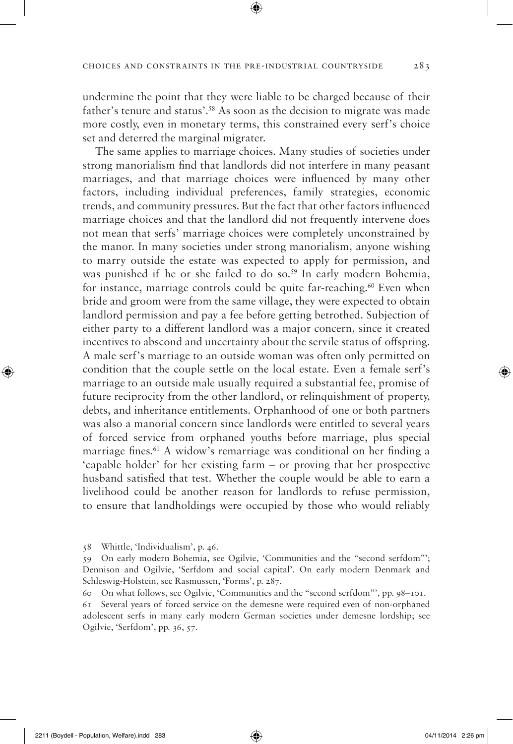undermine the point that they were liable to be charged because of their father's tenure and status'.58 As soon as the decision to migrate was made more costly, even in monetary terms, this constrained every serf's choice set and deterred the marginal migrater.

The same applies to marriage choices. Many studies of societies under strong manorialism find that landlords did not interfere in many peasant marriages, and that marriage choices were influenced by many other factors, including individual preferences, family strategies, economic trends, and community pressures. But the fact that other factors influenced marriage choices and that the landlord did not frequently intervene does not mean that serfs' marriage choices were completely unconstrained by the manor. In many societies under strong manorialism, anyone wishing to marry outside the estate was expected to apply for permission, and was punished if he or she failed to do so.<sup>59</sup> In early modern Bohemia, for instance, marriage controls could be quite far-reaching.<sup>60</sup> Even when bride and groom were from the same village, they were expected to obtain landlord permission and pay a fee before getting betrothed. Subjection of either party to a different landlord was a major concern, since it created incentives to abscond and uncertainty about the servile status of offspring. A male serf's marriage to an outside woman was often only permitted on condition that the couple settle on the local estate. Even a female serf's marriage to an outside male usually required a substantial fee, promise of future reciprocity from the other landlord, or relinquishment of property, debts, and inheritance entitlements. Orphanhood of one or both partners was also a manorial concern since landlords were entitled to several years of forced service from orphaned youths before marriage, plus special marriage fines.<sup>61</sup> A widow's remarriage was conditional on her finding a 'capable holder' for her existing farm – or proving that her prospective husband satisfied that test. Whether the couple would be able to earn a livelihood could be another reason for landlords to refuse permission, to ensure that landholdings were occupied by those who would reliably

61 Several years of forced service on the demesne were required even of non-orphaned adolescent serfs in many early modern German societies under demesne lordship; see Ogilvie, 'Serfdom', pp. 36, 57.

<sup>58</sup> Whittle, 'Individualism', p. 46.

<sup>59</sup> On early modern Bohemia, see Ogilvie, 'Communities and the "second serfdom"'; Dennison and Ogilvie, 'Serfdom and social capital'. On early modern Denmark and Schleswig-Holstein, see Rasmussen, 'Forms', p. 287.

<sup>60</sup> On what follows, see Ogilvie, 'Communities and the "second serfdom"', pp. 98–101.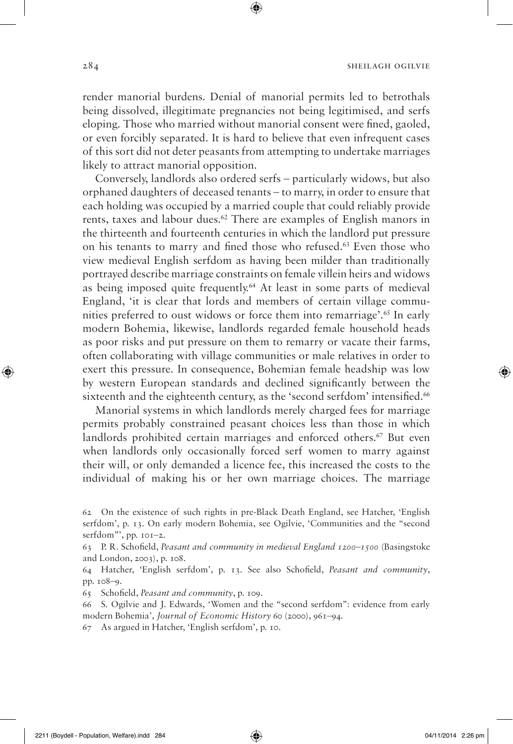render manorial burdens. Denial of manorial permits led to betrothals being dissolved, illegitimate pregnancies not being legitimised, and serfs eloping. Those who married without manorial consent were fined, gaoled, or even forcibly separated. It is hard to believe that even infrequent cases of this sort did not deter peasants from attempting to undertake marriages likely to attract manorial opposition.

⊕

Conversely, landlords also ordered serfs – particularly widows, but also orphaned daughters of deceased tenants – to marry, in order to ensure that each holding was occupied by a married couple that could reliably provide rents, taxes and labour dues.62 There are examples of English manors in the thirteenth and fourteenth centuries in which the landlord put pressure on his tenants to marry and fined those who refused.63 Even those who view medieval English serfdom as having been milder than traditionally portrayed describe marriage constraints on female villein heirs and widows as being imposed quite frequently.64 At least in some parts of medieval England, 'it is clear that lords and members of certain village communities preferred to oust widows or force them into remarriage'.65 In early modern Bohemia, likewise, landlords regarded female household heads as poor risks and put pressure on them to remarry or vacate their farms, often collaborating with village communities or male relatives in order to exert this pressure. In consequence, Bohemian female headship was low by western European standards and declined significantly between the sixteenth and the eighteenth century, as the 'second serfdom' intensified.<sup>66</sup>

Manorial systems in which landlords merely charged fees for marriage permits probably constrained peasant choices less than those in which landlords prohibited certain marriages and enforced others.<sup>67</sup> But even when landlords only occasionally forced serf women to marry against their will, or only demanded a licence fee, this increased the costs to the individual of making his or her own marriage choices. The marriage

65 Schofield, *Peasant and community*, p. 109.

- 66 S. Ogilvie and J. Edwards, 'Women and the "second serfdom": evidence from early modern Bohemia', *Journal of Economic History* 60 (2000), 961–94.
- 67 As argued in Hatcher, 'English serfdom', p. 10.

◈

<sup>62</sup> On the existence of such rights in pre-Black Death England, see Hatcher, 'English serfdom', p. 13. On early modern Bohemia, see Ogilvie, 'Communities and the "second serfdom"', pp. 101–2.

<sup>63</sup> P. R. Schofield, *Peasant and community in medieval England 1200–1500* (Basingstoke and London, 2003), p. 108.

<sup>64</sup> Hatcher, 'English serfdom', p. 13. See also Schofield, *Peasant and community*, pp. 108–9.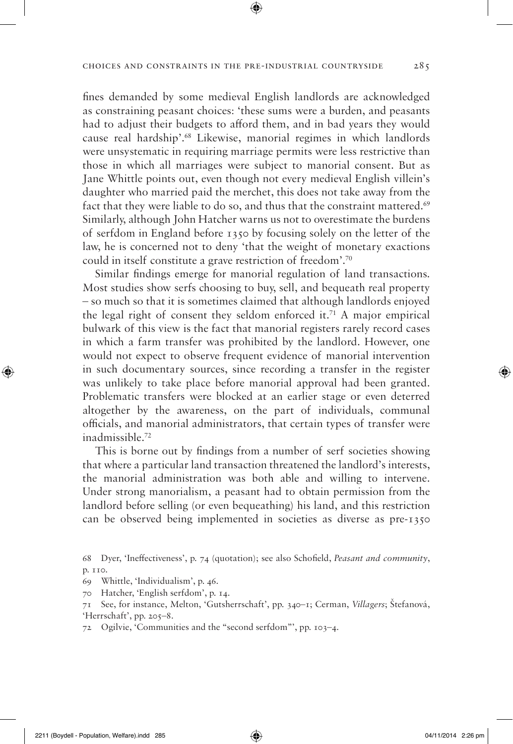⊕

fines demanded by some medieval English landlords are acknowledged as constraining peasant choices: 'these sums were a burden, and peasants had to adjust their budgets to afford them, and in bad years they would cause real hardship'.68 Likewise, manorial regimes in which landlords were unsystematic in requiring marriage permits were less restrictive than those in which all marriages were subject to manorial consent. But as Jane Whittle points out, even though not every medieval English villein's daughter who married paid the merchet, this does not take away from the fact that they were liable to do so, and thus that the constraint mattered.<sup>69</sup> Similarly, although John Hatcher warns us not to overestimate the burdens of serfdom in England before 1350 by focusing solely on the letter of the law, he is concerned not to deny 'that the weight of monetary exactions could in itself constitute a grave restriction of freedom'.70

Similar findings emerge for manorial regulation of land transactions. Most studies show serfs choosing to buy, sell, and bequeath real property – so much so that it is sometimes claimed that although landlords enjoyed the legal right of consent they seldom enforced it.71 A major empirical bulwark of this view is the fact that manorial registers rarely record cases in which a farm transfer was prohibited by the landlord. However, one would not expect to observe frequent evidence of manorial intervention in such documentary sources, since recording a transfer in the register was unlikely to take place before manorial approval had been granted. Problematic transfers were blocked at an earlier stage or even deterred altogether by the awareness, on the part of individuals, communal officials, and manorial administrators, that certain types of transfer were inadmissible.72

This is borne out by findings from a number of serf societies showing that where a particular land transaction threatened the landlord's interests, the manorial administration was both able and willing to intervene. Under strong manorialism, a peasant had to obtain permission from the landlord before selling (or even bequeathing) his land, and this restriction can be observed being implemented in societies as diverse as pre-1350

72 Ogilvie, 'Communities and the "second serfdom"', pp. 103–4.

◈

<sup>68</sup> Dyer, 'Ineffectiveness', p. 74 (quotation); see also Schofield, *Peasant and community*, p. 110.

<sup>69</sup> Whittle, 'Individualism', p. 46.

<sup>70</sup> Hatcher, 'English serfdom', p. 14.

<sup>71</sup> See, for instance, Melton, 'Gutsherrschaft', pp. 340–1; Cerman, *Villagers*; Štefanová, 'Herrschaft', pp. 205–8.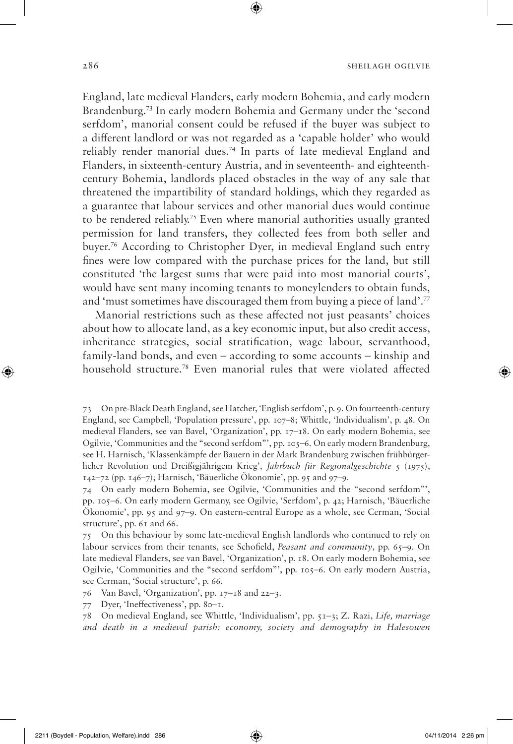England, late medieval Flanders, early modern Bohemia, and early modern Brandenburg.73 In early modern Bohemia and Germany under the 'second serfdom', manorial consent could be refused if the buyer was subject to a different landlord or was not regarded as a 'capable holder' who would reliably render manorial dues.74 In parts of late medieval England and Flanders, in sixteenth-century Austria, and in seventeenth- and eighteenthcentury Bohemia, landlords placed obstacles in the way of any sale that threatened the impartibility of standard holdings, which they regarded as a guarantee that labour services and other manorial dues would continue to be rendered reliably.75 Even where manorial authorities usually granted permission for land transfers, they collected fees from both seller and buyer.76 According to Christopher Dyer, in medieval England such entry fines were low compared with the purchase prices for the land, but still constituted 'the largest sums that were paid into most manorial courts', would have sent many incoming tenants to moneylenders to obtain funds, and 'must sometimes have discouraged them from buying a piece of land'.77

Manorial restrictions such as these affected not just peasants' choices about how to allocate land, as a key economic input, but also credit access, inheritance strategies, social stratification, wage labour, servanthood, family-land bonds, and even – according to some accounts – kinship and household structure.78 Even manorial rules that were violated affected

75 On this behaviour by some late-medieval English landlords who continued to rely on labour services from their tenants, see Schofield, *Peasant and community*, pp. 65–9. On late medieval Flanders, see van Bavel, 'Organization', p. 18. On early modern Bohemia, see Ogilvie, 'Communities and the "second serfdom"', pp. 105–6. On early modern Austria, see Cerman, 'Social structure', p. 66.

76 Van Bavel, 'Organization', pp. 17–18 and 22–3.

77 Dyer, 'Ineffectiveness', pp. 80–1.

78 On medieval England, see Whittle, 'Individualism', pp. 51–3; Z. Razi, *Life, marriage and death in a medieval parish: economy, society and demography in Halesowen* 

◈

<sup>73</sup> On pre-Black Death England, see Hatcher, 'English serfdom', p. 9. On fourteenth-century England, see Campbell, 'Population pressure', pp. 107–8; Whittle, 'Individualism', p. 48. On medieval Flanders, see van Bavel, 'Organization', pp. 17–18. On early modern Bohemia, see Ogilvie, 'Communities and the "second serfdom"', pp. 105–6. On early modern Brandenburg, see H. Harnisch, 'Klassenkämpfe der Bauern in der Mark Brandenburg zwischen frühbürgerlicher Revolution und Dreißigjährigem Krieg', *Jahrbuch für Regionalgeschichte* 5 (1975), 142–72 (pp. 146–7); Harnisch, 'Bäuerliche Ökonomie', pp. 95 and 97–9.

<sup>74</sup> On early modern Bohemia, see Ogilvie, 'Communities and the "second serfdom"', pp. 105–6. On early modern Germany, see Ogilvie, 'Serfdom', p. 42; Harnisch, 'Bäuerliche Ökonomie', pp. 95 and 97–9. On eastern-central Europe as a whole, see Cerman, 'Social structure', pp. 61 and 66.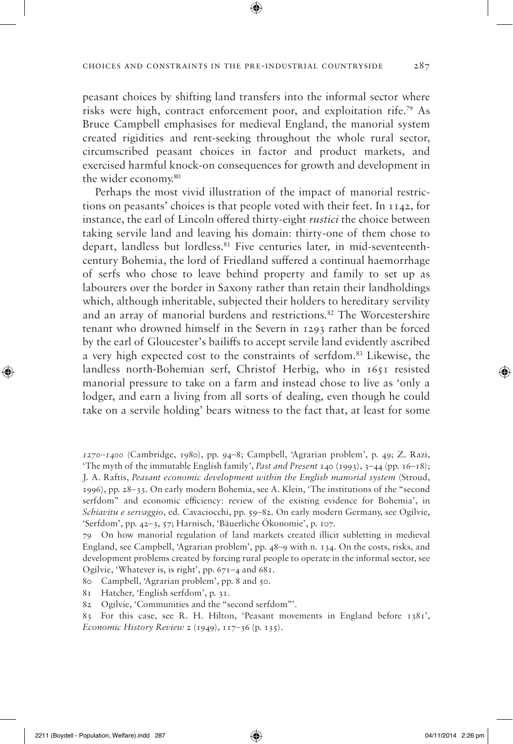peasant choices by shifting land transfers into the informal sector where risks were high, contract enforcement poor, and exploitation rife.79 As Bruce Campbell emphasises for medieval England, the manorial system created rigidities and rent-seeking throughout the whole rural sector, circumscribed peasant choices in factor and product markets, and exercised harmful knock-on consequences for growth and development in the wider economy.<sup>80</sup>

Perhaps the most vivid illustration of the impact of manorial restrictions on peasants' choices is that people voted with their feet. In 1142, for instance, the earl of Lincoln offered thirty-eight *rustici* the choice between taking servile land and leaving his domain: thirty-one of them chose to depart, landless but lordless.81 Five centuries later, in mid-seventeenthcentury Bohemia, the lord of Friedland suffered a continual haemorrhage of serfs who chose to leave behind property and family to set up as labourers over the border in Saxony rather than retain their landholdings which, although inheritable, subjected their holders to hereditary servility and an array of manorial burdens and restrictions.82 The Worcestershire tenant who drowned himself in the Severn in 1293 rather than be forced by the earl of Gloucester's bailiffs to accept servile land evidently ascribed a very high expected cost to the constraints of serfdom.83 Likewise, the landless north-Bohemian serf, Christof Herbig, who in 1651 resisted manorial pressure to take on a farm and instead chose to live as 'only a lodger, and earn a living from all sorts of dealing, even though he could take on a servile holding' bears witness to the fact that, at least for some

80 Campbell, 'Agrarian problem', pp. 8 and 50.

81 Hatcher, 'English serfdom', p. 31.

*<sup>1270–1400</sup>* (Cambridge, 1980), pp. 94–8; Campbell, 'Agrarian problem', p. 49; Z. Razi, 'The myth of the immutable English family', *Past and Present* 140 (1993), 3–44 (pp. 16–18); J. A. Raftis, *Peasant economic development within the English manorial system* (Stroud, 1996), pp. 28–33. On early modern Bohemia, see A. Klein, 'The institutions of the "second serfdom" and economic efficiency: review of the existing evidence for Bohemia', in *Schiavitu e servaggio*, ed. Cavaciocchi, pp. 59–82. On early modern Germany, see Ogilvie, 'Serfdom', pp. 42–3, 57; Harnisch, 'Bäuerliche Ökonomie', p. 107.

<sup>79</sup> On how manorial regulation of land markets created illicit subletting in medieval England, see Campbell, 'Agrarian problem', pp. 48–9 with n. 134. On the costs, risks, and development problems created by forcing rural people to operate in the informal sector, see Ogilvie, 'Whatever is, is right', pp. 671–4 and 681.

<sup>82</sup> Ogilvie, 'Communities and the "second serfdom"'.

<sup>83</sup> For this case, see R. H. Hilton, 'Peasant movements in England before 1381', *Economic History Review* 2 (1949), 117–36 (p. 135).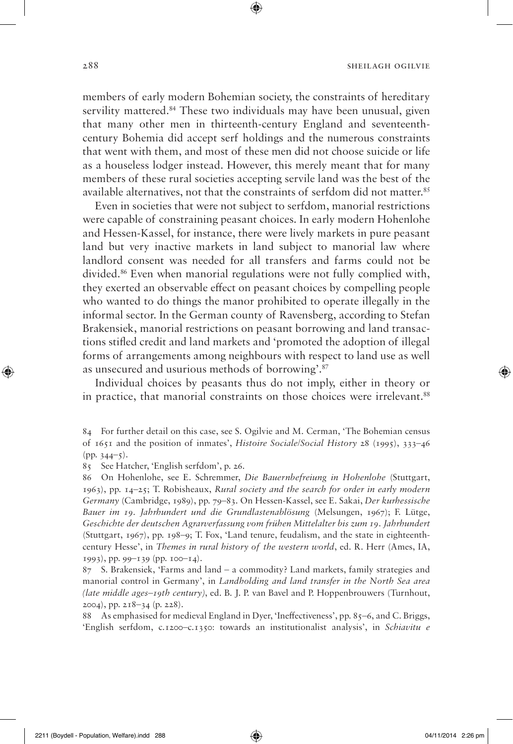members of early modern Bohemian society, the constraints of hereditary servility mattered.<sup>84</sup> These two individuals may have been unusual, given that many other men in thirteenth-century England and seventeenthcentury Bohemia did accept serf holdings and the numerous constraints that went with them, and most of these men did not choose suicide or life as a houseless lodger instead. However, this merely meant that for many members of these rural societies accepting servile land was the best of the available alternatives, not that the constraints of serfdom did not matter.<sup>85</sup>

Even in societies that were not subject to serfdom, manorial restrictions were capable of constraining peasant choices. In early modern Hohenlohe and Hessen-Kassel, for instance, there were lively markets in pure peasant land but very inactive markets in land subject to manorial law where landlord consent was needed for all transfers and farms could not be divided.86 Even when manorial regulations were not fully complied with, they exerted an observable effect on peasant choices by compelling people who wanted to do things the manor prohibited to operate illegally in the informal sector. In the German county of Ravensberg, according to Stefan Brakensiek, manorial restrictions on peasant borrowing and land transactions stifled credit and land markets and 'promoted the adoption of illegal forms of arrangements among neighbours with respect to land use as well as unsecured and usurious methods of borrowing'.87

Individual choices by peasants thus do not imply, either in theory or in practice, that manorial constraints on those choices were irrelevant.88

84 For further detail on this case, see S. Ogilvie and M. Cerman, 'The Bohemian census of 1651 and the position of inmates', *Histoire Sociale/Social History* 28 (1995), 333–46  $(pp. 344-5).$ 

85 See Hatcher, 'English serfdom', p. 26.

86 On Hohenlohe, see E. Schremmer, *Die Bauernbefreiung in Hohenlohe* (Stuttgart, 1963), pp. 14–25; T. Robisheaux, *Rural society and the search for order in early modern Germany* (Cambridge, 1989), pp. 79–83. On Hessen-Kassel, see E. Sakai, *Der kurhessische Bauer im 19. Jahrhundert und die Grundlastenablösung* (Melsungen, 1967); F. Lütge, *Geschichte der deutschen Agrarverfassung vom frühen Mittelalter bis zum 19. Jahrhundert* (Stuttgart, 1967), pp. 198–9; T. Fox, 'Land tenure, feudalism, and the state in eighteenthcentury Hesse', in *Themes in rural history of the western world*, ed. R. Herr (Ames, IA, 1993), pp. 99–139 (pp. 100–14).

87 S. Brakensiek, 'Farms and land – a commodity? Land markets, family strategies and manorial control in Germany', in *Landholding and land transfer in the North Sea area (late middle ages–19th century)*, ed. B. J. P. van Bavel and P. Hoppenbrouwers (Turnhout, 2004), pp. 218–34 (p. 228).

88 As emphasised for medieval England in Dyer, 'Ineffectiveness', pp. 85–6, and C. Briggs, 'English serfdom, c.1200–c.1350: towards an institutionalist analysis', in *Schiavitu e* 

◈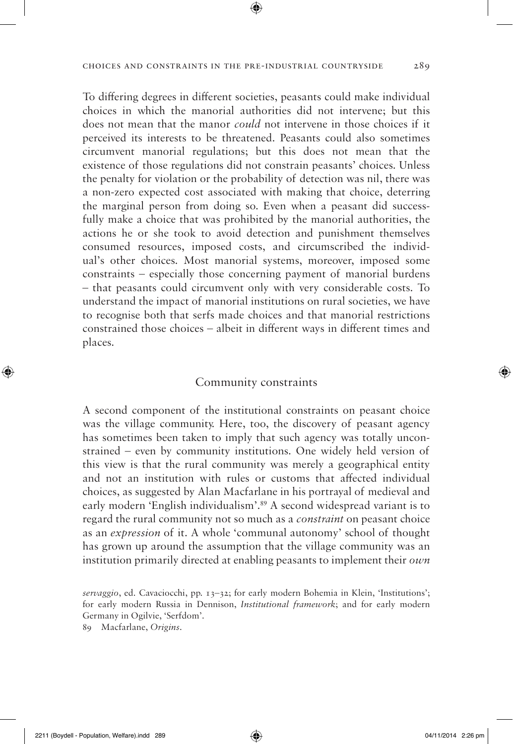To differing degrees in different societies, peasants could make individual choices in which the manorial authorities did not intervene; but this does not mean that the manor *could* not intervene in those choices if it perceived its interests to be threatened. Peasants could also sometimes circumvent manorial regulations; but this does not mean that the existence of those regulations did not constrain peasants' choices. Unless the penalty for violation or the probability of detection was nil, there was a non-zero expected cost associated with making that choice, deterring the marginal person from doing so. Even when a peasant did successfully make a choice that was prohibited by the manorial authorities, the actions he or she took to avoid detection and punishment themselves consumed resources, imposed costs, and circumscribed the individual's other choices. Most manorial systems, moreover, imposed some constraints – especially those concerning payment of manorial burdens – that peasants could circumvent only with very considerable costs. To understand the impact of manorial institutions on rural societies, we have to recognise both that serfs made choices and that manorial restrictions constrained those choices – albeit in different ways in different times and places.

## Community constraints

A second component of the institutional constraints on peasant choice was the village community. Here, too, the discovery of peasant agency has sometimes been taken to imply that such agency was totally unconstrained – even by community institutions. One widely held version of this view is that the rural community was merely a geographical entity and not an institution with rules or customs that affected individual choices, as suggested by Alan Macfarlane in his portrayal of medieval and early modern 'English individualism'.<sup>89</sup> A second widespread variant is to regard the rural community not so much as a *constraint* on peasant choice as an *expression* of it. A whole 'communal autonomy' school of thought has grown up around the assumption that the village community was an institution primarily directed at enabling peasants to implement their *own*

*servaggio*, ed. Cavaciocchi, pp. 13–32; for early modern Bohemia in Klein, 'Institutions'; for early modern Russia in Dennison, *Institutional framework*; and for early modern Germany in Ogilvie, 'Serfdom'.

89 Macfarlane, *Origins*.

2211 (Boydell - Population, Welfare).indd 289 04/11/2014 2:26 pm

⊕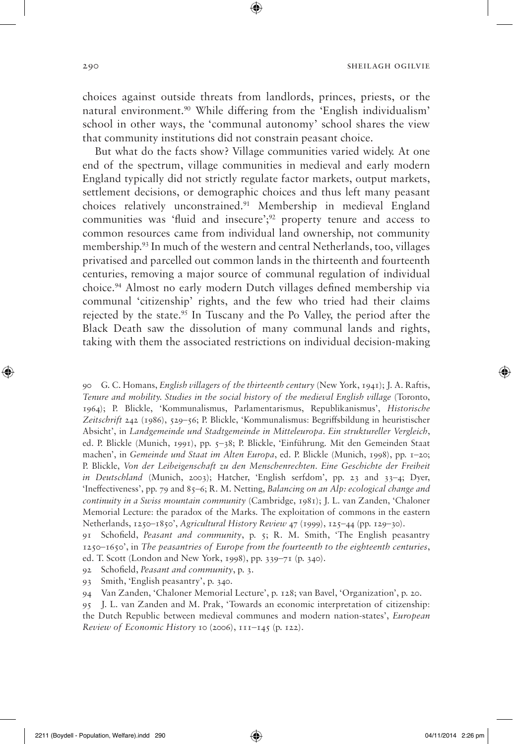choices against outside threats from landlords, princes, priests, or the natural environment.90 While differing from the 'English individualism' school in other ways, the 'communal autonomy' school shares the view that community institutions did not constrain peasant choice.

But what do the facts show? Village communities varied widely. At one end of the spectrum, village communities in medieval and early modern England typically did not strictly regulate factor markets, output markets, settlement decisions, or demographic choices and thus left many peasant choices relatively unconstrained.91 Membership in medieval England communities was 'fluid and insecure';92 property tenure and access to common resources came from individual land ownership, not community membership.93 In much of the western and central Netherlands, too, villages privatised and parcelled out common lands in the thirteenth and fourteenth centuries, removing a major source of communal regulation of individual choice.94 Almost no early modern Dutch villages defined membership via communal 'citizenship' rights, and the few who tried had their claims rejected by the state.<sup>95</sup> In Tuscany and the Po Valley, the period after the Black Death saw the dissolution of many communal lands and rights, taking with them the associated restrictions on individual decision-making

90 G. C. Homans, *English villagers of the thirteenth century* (New York, 1941); J. A. Raftis, *Tenure and mobility. Studies in the social history of the medieval English village* (Toronto, 1964); P. Blickle, 'Kommunalismus, Parlamentarismus, Republikanismus', *Historische Zeitschrift* 242 (1986), 529–56; P. Blickle, 'Kommunalismus: Begriffsbildung in heuristischer Absicht', in *Landgemeinde und Stadtgemeinde in Mitteleuropa. Ein struktureller Vergleich*, ed. P. Blickle (Munich, 1991), pp. 5–38; P. Blickle, 'Einführung. Mit den Gemeinden Staat machen', in *Gemeinde und Staat im Alten Europa*, ed. P. Blickle (Munich, 1998), pp. 1–20; P. Blickle, *Von der Leibeigenschaft zu den Menschenrechten. Eine Geschichte der Freiheit in Deutschland* (Munich, 2003); Hatcher, 'English serfdom', pp. 23 and 33-4; Dyer, 'Ineffectiveness', pp. 79 and 85–6; R. M. Netting, *Balancing on an Alp: ecological change and continuity in a Swiss mountain community* (Cambridge, 1981); J. L. van Zanden, 'Chaloner Memorial Lecture: the paradox of the Marks. The exploitation of commons in the eastern Netherlands, 1250–1850', *Agricultural History Review* 47 (1999), 125–44 (pp. 129–30).

91 Schofield, *Peasant and community*, p. 5; R. M. Smith, 'The English peasantry 1250–1650', in *The peasantries of Europe from the fourteenth to the eighteenth centuries*, ed. T. Scott (London and New York, 1998), pp. 339–71 (p. 340).

92 Schofield, *Peasant and community*, p. 3.

93 Smith, 'English peasantry', p. 340.

94 Van Zanden, 'Chaloner Memorial Lecture', p. 128; van Bavel, 'Organization', p. 20.

95 J. L. van Zanden and M. Prak, 'Towards an economic interpretation of citizenship: the Dutch Republic between medieval communes and modern nation-states', *European Review of Economic History* 10 (2006), 111–145 (p. 122).

◈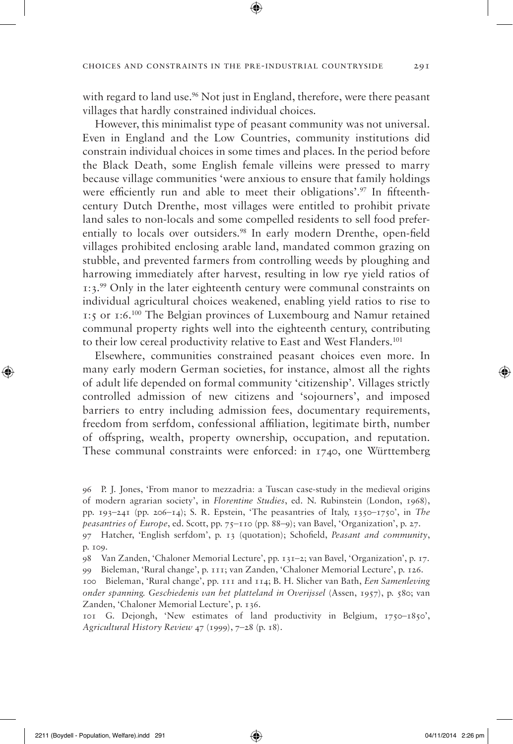with regard to land use.<sup>96</sup> Not just in England, therefore, were there peasant villages that hardly constrained individual choices.

However, this minimalist type of peasant community was not universal. Even in England and the Low Countries, community institutions did constrain individual choices in some times and places. In the period before the Black Death, some English female villeins were pressed to marry because village communities 'were anxious to ensure that family holdings were efficiently run and able to meet their obligations'.<sup>97</sup> In fifteenthcentury Dutch Drenthe, most villages were entitled to prohibit private land sales to non-locals and some compelled residents to sell food preferentially to locals over outsiders.<sup>98</sup> In early modern Drenthe, open-field villages prohibited enclosing arable land, mandated common grazing on stubble, and prevented farmers from controlling weeds by ploughing and harrowing immediately after harvest, resulting in low rye yield ratios of 1:3.99 Only in the later eighteenth century were communal constraints on individual agricultural choices weakened, enabling yield ratios to rise to 1:5 or 1:6.100 The Belgian provinces of Luxembourg and Namur retained communal property rights well into the eighteenth century, contributing to their low cereal productivity relative to East and West Flanders.101

Elsewhere, communities constrained peasant choices even more. In many early modern German societies, for instance, almost all the rights of adult life depended on formal community 'citizenship'. Villages strictly controlled admission of new citizens and 'sojourners', and imposed barriers to entry including admission fees, documentary requirements, freedom from serfdom, confessional affiliation, legitimate birth, number of offspring, wealth, property ownership, occupation, and reputation. These communal constraints were enforced: in 1740, one Württemberg

96 P. J. Jones, 'From manor to mezzadria: a Tuscan case-study in the medieval origins of modern agrarian society', in *Florentine Studies*, ed. N. Rubinstein (London, 1968), pp. 193–241 (pp. 206–14); S. R. Epstein, 'The peasantries of Italy, 1350–1750', in *The peasantries of Europe*, ed. Scott, pp. 75–110 (pp. 88–9); van Bavel, 'Organization', p. 27.

97 Hatcher, 'English serfdom', p. 13 (quotation); Schofield, *Peasant and community*, p. 109.

98 Van Zanden, 'Chaloner Memorial Lecture', pp. 131–2; van Bavel, 'Organization', p. 17. 99 Bieleman, 'Rural change', p. 111; van Zanden, 'Chaloner Memorial Lecture', p. 126.

100 Bieleman, 'Rural change', pp. 111 and 114; B. H. Slicher van Bath, *Een Samenleving onder spanning. Geschiedenis van het platteland in Overijssel* (Assen, 1957), p. 580; van Zanden, 'Chaloner Memorial Lecture', p. 136.

101 G. Dejongh, 'New estimates of land productivity in Belgium, 1750–1850', *Agricultural History Review* 47 (1999), 7–28 (p. 18).

◈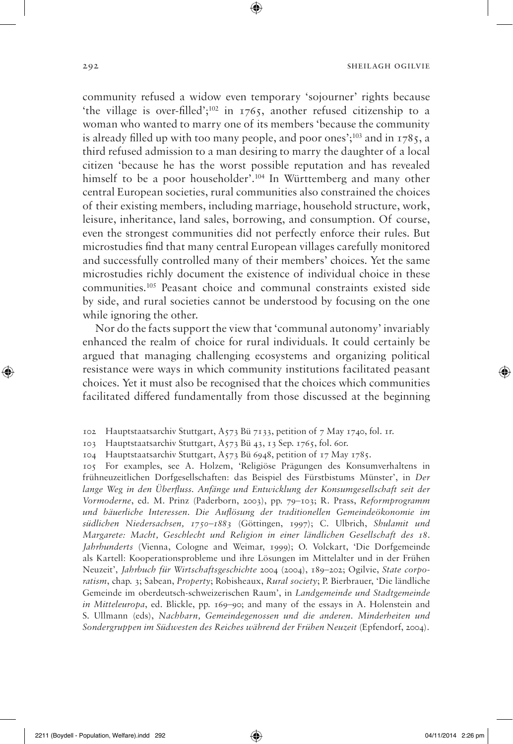community refused a widow even temporary 'sojourner' rights because 'the village is over-filled';102 in 1765, another refused citizenship to a woman who wanted to marry one of its members 'because the community is already filled up with too many people, and poor ones'; $^{103}$  and in 1785, a third refused admission to a man desiring to marry the daughter of a local citizen 'because he has the worst possible reputation and has revealed himself to be a poor householder'.<sup>104</sup> In Württemberg and many other central European societies, rural communities also constrained the choices of their existing members, including marriage, household structure, work, leisure, inheritance, land sales, borrowing, and consumption. Of course, even the strongest communities did not perfectly enforce their rules. But microstudies find that many central European villages carefully monitored and successfully controlled many of their members' choices. Yet the same microstudies richly document the existence of individual choice in these communities.105 Peasant choice and communal constraints existed side by side, and rural societies cannot be understood by focusing on the one while ignoring the other.

⊕

Nor do the facts support the view that 'communal autonomy' invariably enhanced the realm of choice for rural individuals. It could certainly be argued that managing challenging ecosystems and organizing political resistance were ways in which community institutions facilitated peasant choices. Yet it must also be recognised that the choices which communities facilitated differed fundamentally from those discussed at the beginning

104 Hauptstaatsarchiv Stuttgart, A573 Bü 6948, petition of 17 May 1785.

105 For examples, see A. Holzem, 'Religiöse Prägungen des Konsumverhaltens in frühneuzeitlichen Dorfgesellschaften: das Beispiel des Fürstbistums Münster', in *Der lange Weg in den Überfluss. Anfänge und Entwicklung der Konsumgesellschaft seit der Vormoderne*, ed. M. Prinz (Paderborn, 2003), pp. 79–103; R. Prass, *Reformprogramm und bäuerliche Interessen. Die Auflösung der traditionellen Gemeindeökonomie im südlichen Niedersachsen, 1750–1883* (Göttingen, 1997); C. Ulbrich, *Shulamit und Margarete: Macht, Geschlecht und Religion in einer ländlichen Gesellschaft des 18. Jahrhunderts* (Vienna, Cologne and Weimar, 1999); O. Volckart, 'Die Dorfgemeinde als Kartell: Kooperationsprobleme und ihre Lösungen im Mittelalter und in der Frühen Neuzeit', *Jahrbuch für Wirtschaftsgeschichte* 2004 (2004), 189–202; Ogilvie, *State corporatism*, chap. 3; Sabean, *Property*; Robisheaux, *Rural society*; P. Bierbrauer, 'Die ländliche Gemeinde im oberdeutsch-schweizerischen Raum', in *Landgemeinde und Stadtgemeinde in Mitteleuropa*, ed. Blickle, pp. 169–90; and many of the essays in A. Holenstein and S. Ullmann (eds), *Nachbarn, Gemeindegenossen und die anderen. Minderheiten und Sondergruppen im Südwesten des Reiches während der Frühen Neuzeit* (Epfendorf, 2004).

◈

<sup>102</sup> Hauptstaatsarchiv Stuttgart, A573 Bü 7133, petition of 7 May 1740, fol. 1r.

<sup>103</sup> Hauptstaatsarchiv Stuttgart, A573 Bü 43, 13 Sep. 1765, fol. 60r.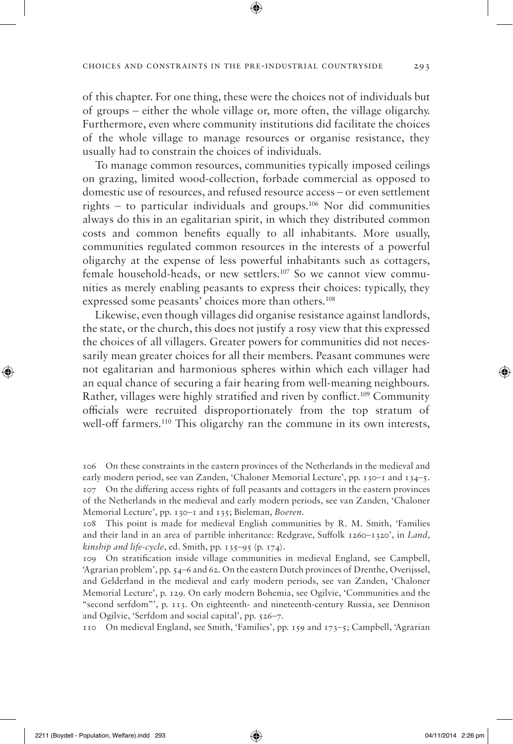of this chapter. For one thing, these were the choices not of individuals but of groups – either the whole village or, more often, the village oligarchy. Furthermore, even where community institutions did facilitate the choices of the whole village to manage resources or organise resistance, they usually had to constrain the choices of individuals.

To manage common resources, communities typically imposed ceilings on grazing, limited wood-collection, forbade commercial as opposed to domestic use of resources, and refused resource access – or even settlement rights – to particular individuals and groups.<sup>106</sup> Nor did communities always do this in an egalitarian spirit, in which they distributed common costs and common benefits equally to all inhabitants. More usually, communities regulated common resources in the interests of a powerful oligarchy at the expense of less powerful inhabitants such as cottagers, female household-heads, or new settlers.<sup>107</sup> So we cannot view communities as merely enabling peasants to express their choices: typically, they expressed some peasants' choices more than others.108

Likewise, even though villages did organise resistance against landlords, the state, or the church, this does not justify a rosy view that this expressed the choices of all villagers. Greater powers for communities did not necessarily mean greater choices for all their members. Peasant communes were not egalitarian and harmonious spheres within which each villager had an equal chance of securing a fair hearing from well-meaning neighbours. Rather, villages were highly stratified and riven by conflict.109 Community officials were recruited disproportionately from the top stratum of well-off farmers.<sup>110</sup> This oligarchy ran the commune in its own interests,

110 On medieval England, see Smith, 'Families', pp. 159 and 173–5; Campbell, 'Agrarian

<sup>106</sup> On these constraints in the eastern provinces of the Netherlands in the medieval and early modern period, see van Zanden, 'Chaloner Memorial Lecture', pp. 130–1 and 134–5. 107 On the differing access rights of full peasants and cottagers in the eastern provinces of the Netherlands in the medieval and early modern periods, see van Zanden, 'Chaloner Memorial Lecture', pp. 130–1 and 135; Bieleman, *Boeren*.

<sup>108</sup> This point is made for medieval English communities by R. M. Smith, 'Families and their land in an area of partible inheritance: Redgrave, Suffolk 1260–1320', in *Land, kinship and life-cycle*, ed. Smith, pp. 135–95 (p. 174).

<sup>109</sup> On stratification inside village communities in medieval England, see Campbell, 'Agrarian problem', pp. 54–6 and 62. On the eastern Dutch provinces of Drenthe, Overijssel, and Gelderland in the medieval and early modern periods, see van Zanden, 'Chaloner Memorial Lecture', p. 129. On early modern Bohemia, see Ogilvie, 'Communities and the "second serfdom"', p. 113. On eighteenth- and nineteenth-century Russia, see Dennison and Ogilvie, 'Serfdom and social capital', pp. 526–7.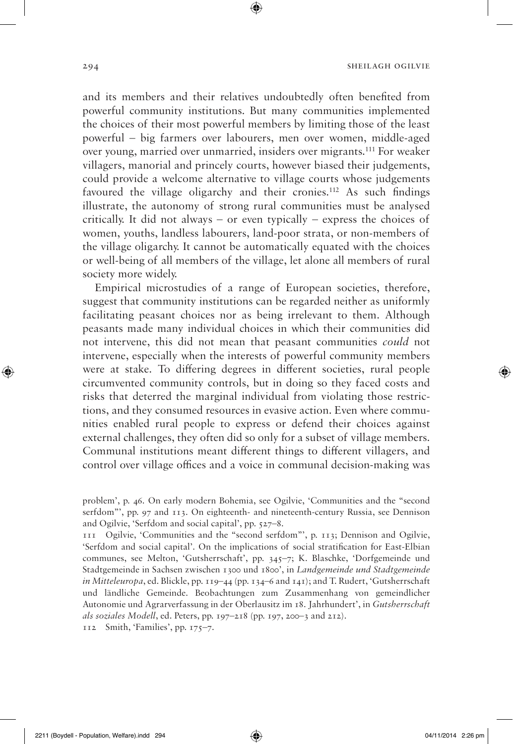and its members and their relatives undoubtedly often benefited from powerful community institutions. But many communities implemented the choices of their most powerful members by limiting those of the least powerful – big farmers over labourers, men over women, middle-aged over young, married over unmarried, insiders over migrants.111 For weaker villagers, manorial and princely courts, however biased their judgements, could provide a welcome alternative to village courts whose judgements favoured the village oligarchy and their cronies.112 As such findings illustrate, the autonomy of strong rural communities must be analysed critically. It did not always – or even typically – express the choices of women, youths, landless labourers, land-poor strata, or non-members of the village oligarchy. It cannot be automatically equated with the choices or well-being of all members of the village, let alone all members of rural society more widely.

Empirical microstudies of a range of European societies, therefore, suggest that community institutions can be regarded neither as uniformly facilitating peasant choices nor as being irrelevant to them. Although peasants made many individual choices in which their communities did not intervene, this did not mean that peasant communities *could* not intervene, especially when the interests of powerful community members were at stake. To differing degrees in different societies, rural people circumvented community controls, but in doing so they faced costs and risks that deterred the marginal individual from violating those restrictions, and they consumed resources in evasive action. Even where communities enabled rural people to express or defend their choices against external challenges, they often did so only for a subset of village members. Communal institutions meant different things to different villagers, and control over village offices and a voice in communal decision-making was

112 Smith, 'Families', pp. 175–7.

◈

problem', p. 46. On early modern Bohemia, see Ogilvie, 'Communities and the "second serfdom"', pp. 97 and 113. On eighteenth- and nineteenth-century Russia, see Dennison and Ogilvie, 'Serfdom and social capital', pp. 527–8.

<sup>111</sup> Ogilvie, 'Communities and the "second serfdom"', p. 113; Dennison and Ogilvie, 'Serfdom and social capital'. On the implications of social stratification for East-Elbian communes, see Melton, 'Gutsherrschaft', pp. 345–7; K. Blaschke, 'Dorfgemeinde und Stadtgemeinde in Sachsen zwischen 1300 und 1800', in *Landgemeinde und Stadtgemeinde in Mitteleuropa*, ed. Blickle, pp. 119–44 (pp. 134–6 and 141); and T. Rudert, 'Gutsherrschaft und ländliche Gemeinde. Beobachtungen zum Zusammenhang von gemeindlicher Autonomie und Agrarverfassung in der Oberlausitz im 18. Jahrhundert', in *Gutsherrschaft als soziales Modell*, ed. Peters, pp. 197–218 (pp. 197, 200–3 and 212).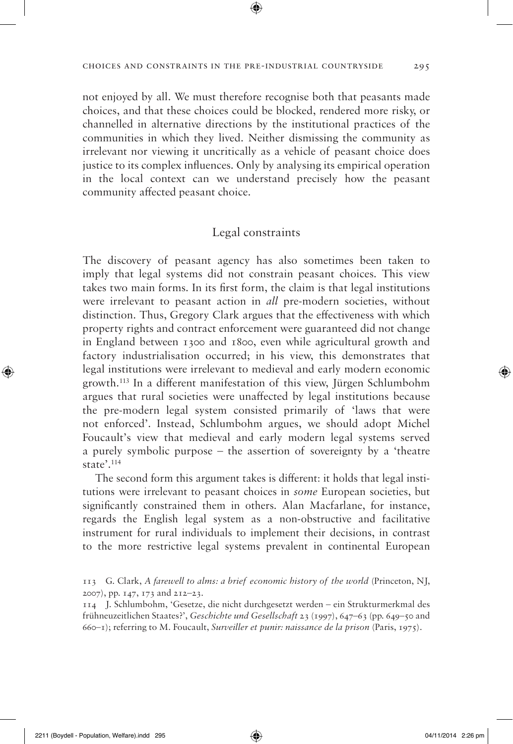not enjoyed by all. We must therefore recognise both that peasants made choices, and that these choices could be blocked, rendered more risky, or channelled in alternative directions by the institutional practices of the communities in which they lived. Neither dismissing the community as irrelevant nor viewing it uncritically as a vehicle of peasant choice does justice to its complex influences. Only by analysing its empirical operation in the local context can we understand precisely how the peasant community affected peasant choice.

## Legal constraints

The discovery of peasant agency has also sometimes been taken to imply that legal systems did not constrain peasant choices. This view takes two main forms. In its first form, the claim is that legal institutions were irrelevant to peasant action in *all* pre-modern societies, without distinction. Thus, Gregory Clark argues that the effectiveness with which property rights and contract enforcement were guaranteed did not change in England between 1300 and 1800, even while agricultural growth and factory industrialisation occurred; in his view, this demonstrates that legal institutions were irrelevant to medieval and early modern economic growth.113 In a different manifestation of this view, Jürgen Schlumbohm argues that rural societies were unaffected by legal institutions because the pre-modern legal system consisted primarily of 'laws that were not enforced'. Instead, Schlumbohm argues, we should adopt Michel Foucault's view that medieval and early modern legal systems served a purely symbolic purpose – the assertion of sovereignty by a 'theatre state'.114

The second form this argument takes is different: it holds that legal institutions were irrelevant to peasant choices in *some* European societies, but significantly constrained them in others. Alan Macfarlane, for instance, regards the English legal system as a non-obstructive and facilitative instrument for rural individuals to implement their decisions, in contrast to the more restrictive legal systems prevalent in continental European

◈

<sup>113</sup> G. Clark, *A farewell to alms: a brief economic history of the world* (Princeton, NJ, 2007), pp. 147, 173 and 212–23.

<sup>114</sup> J. Schlumbohm, 'Gesetze, die nicht durchgesetzt werden – ein Strukturmerkmal des frühneuzeitlichen Staates?', *Geschichte und Gesellschaft* 23 (1997), 647–63 (pp. 649–50 and 660–1); referring to M. Foucault, *Surveiller et punir: naissance de la prison* (Paris, 1975).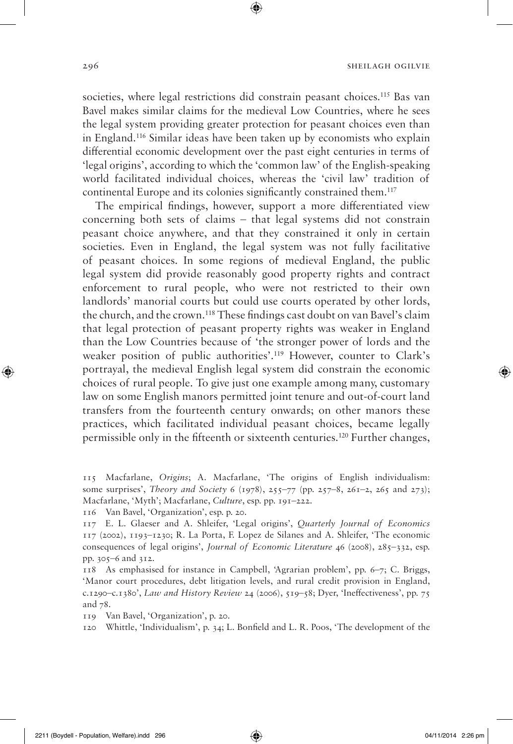societies, where legal restrictions did constrain peasant choices.<sup>115</sup> Bas van Bavel makes similar claims for the medieval Low Countries, where he sees the legal system providing greater protection for peasant choices even than in England.116 Similar ideas have been taken up by economists who explain differential economic development over the past eight centuries in terms of 'legal origins', according to which the 'common law' of the English-speaking world facilitated individual choices, whereas the 'civil law' tradition of continental Europe and its colonies significantly constrained them.<sup>117</sup>

⊕

The empirical findings, however, support a more differentiated view concerning both sets of claims – that legal systems did not constrain peasant choice anywhere, and that they constrained it only in certain societies. Even in England, the legal system was not fully facilitative of peasant choices. In some regions of medieval England, the public legal system did provide reasonably good property rights and contract enforcement to rural people, who were not restricted to their own landlords' manorial courts but could use courts operated by other lords, the church, and the crown.118 These findings cast doubt on van Bavel's claim that legal protection of peasant property rights was weaker in England than the Low Countries because of 'the stronger power of lords and the weaker position of public authorities'.119 However, counter to Clark's portrayal, the medieval English legal system did constrain the economic choices of rural people. To give just one example among many, customary law on some English manors permitted joint tenure and out-of-court land transfers from the fourteenth century onwards; on other manors these practices, which facilitated individual peasant choices, became legally permissible only in the fifteenth or sixteenth centuries.120 Further changes,

116 Van Bavel, 'Organization', esp. p. 20.

119 Van Bavel, 'Organization', p. 20.

120 Whittle, 'Individualism', p. 34; L. Bonfield and L. R. Poos, 'The development of the

◈

<sup>115</sup> Macfarlane, *Origins*; A. Macfarlane, 'The origins of English individualism: some surprises', *Theory and Society* 6 (1978), 255–77 (pp. 257–8, 261–2, 265 and 273); Macfarlane, 'Myth'; Macfarlane, *Culture*, esp. pp. 191–222.

<sup>117</sup> E. L. Glaeser and A. Shleifer, 'Legal origins', *Quarterly Journal of Economics* 117 (2002), 1193–1230; R. La Porta, F. Lopez de Silanes and A. Shleifer, 'The economic consequences of legal origins', *Journal of Economic Literature* 46 (2008), 285–332, esp. pp. 305–6 and 312.

<sup>118</sup> As emphasised for instance in Campbell, 'Agrarian problem', pp. 6–7; C. Briggs, 'Manor court procedures, debt litigation levels, and rural credit provision in England, c.1290–c.1380', *Law and History Review* 24 (2006), 519–58; Dyer, 'Ineffectiveness', pp. 75 and 78.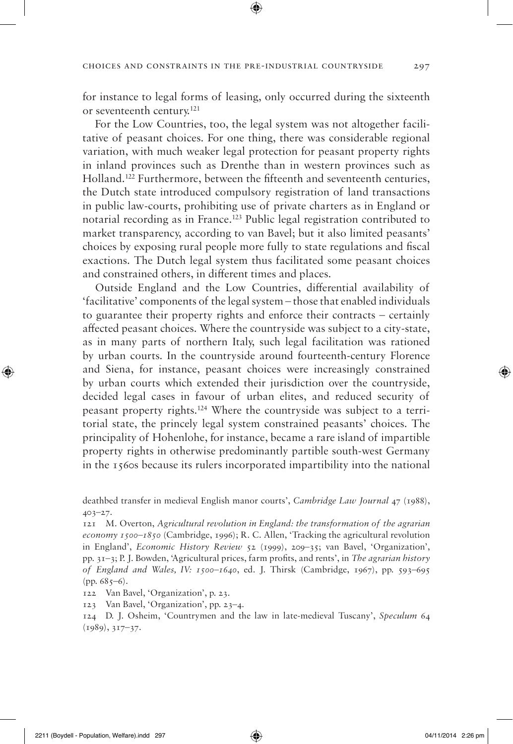for instance to legal forms of leasing, only occurred during the sixteenth or seventeenth century.121

For the Low Countries, too, the legal system was not altogether facilitative of peasant choices. For one thing, there was considerable regional variation, with much weaker legal protection for peasant property rights in inland provinces such as Drenthe than in western provinces such as Holland.122 Furthermore, between the fifteenth and seventeenth centuries, the Dutch state introduced compulsory registration of land transactions in public law-courts, prohibiting use of private charters as in England or notarial recording as in France.123 Public legal registration contributed to market transparency, according to van Bavel; but it also limited peasants' choices by exposing rural people more fully to state regulations and fiscal exactions. The Dutch legal system thus facilitated some peasant choices and constrained others, in different times and places.

Outside England and the Low Countries, differential availability of 'facilitative' components of the legal system – those that enabled individuals to guarantee their property rights and enforce their contracts – certainly affected peasant choices. Where the countryside was subject to a city-state, as in many parts of northern Italy, such legal facilitation was rationed by urban courts. In the countryside around fourteenth-century Florence and Siena, for instance, peasant choices were increasingly constrained by urban courts which extended their jurisdiction over the countryside, decided legal cases in favour of urban elites, and reduced security of peasant property rights.124 Where the countryside was subject to a territorial state, the princely legal system constrained peasants' choices. The principality of Hohenlohe, for instance, became a rare island of impartible property rights in otherwise predominantly partible south-west Germany in the 1560s because its rulers incorporated impartibility into the national

deathbed transfer in medieval English manor courts', *Cambridge Law Journal* 47 (1988), 403–27.

121 M. Overton, *Agricultural revolution in England: the transformation of the agrarian economy 1500–1850* (Cambridge, 1996); R. C. Allen, 'Tracking the agricultural revolution in England', *Economic History Review* 52 (1999), 209–35; van Bavel, 'Organization', pp. 31–3; P. J. Bowden, 'Agricultural prices, farm profits, and rents', in *The agrarian history of England and Wales, IV: 1500–1640*, ed. J. Thirsk (Cambridge, 1967), pp. 593–695 (pp.  $685-6$ ).

122 Van Bavel, 'Organization', p. 23.

123 Van Bavel, 'Organization', pp. 23–4.

124 D. J. Osheim, 'Countrymen and the law in late-medieval Tuscany', *Speculum* 64 (1989), 317–37.

◈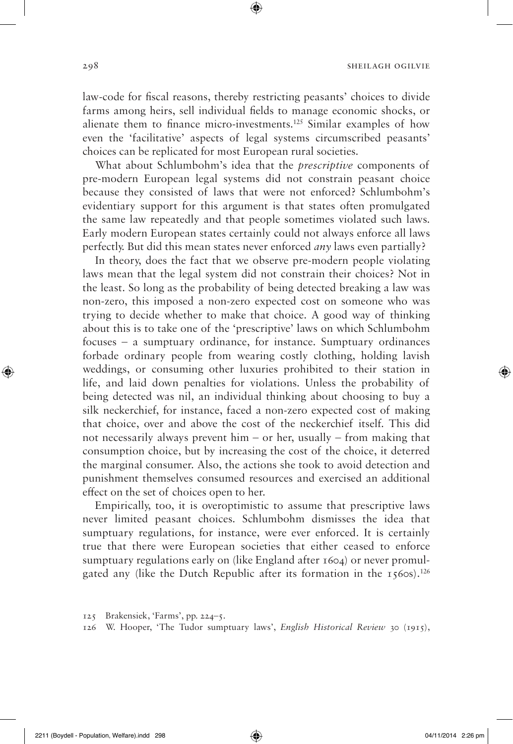law-code for fiscal reasons, thereby restricting peasants' choices to divide farms among heirs, sell individual fields to manage economic shocks, or alienate them to finance micro-investments.125 Similar examples of how even the 'facilitative' aspects of legal systems circumscribed peasants' choices can be replicated for most European rural societies.

⊕

What about Schlumbohm's idea that the *prescriptive* components of pre-modern European legal systems did not constrain peasant choice because they consisted of laws that were not enforced? Schlumbohm's evidentiary support for this argument is that states often promulgated the same law repeatedly and that people sometimes violated such laws. Early modern European states certainly could not always enforce all laws perfectly. But did this mean states never enforced *any* laws even partially?

In theory, does the fact that we observe pre-modern people violating laws mean that the legal system did not constrain their choices? Not in the least. So long as the probability of being detected breaking a law was non-zero, this imposed a non-zero expected cost on someone who was trying to decide whether to make that choice. A good way of thinking about this is to take one of the 'prescriptive' laws on which Schlumbohm focuses – a sumptuary ordinance, for instance. Sumptuary ordinances forbade ordinary people from wearing costly clothing, holding lavish weddings, or consuming other luxuries prohibited to their station in life, and laid down penalties for violations. Unless the probability of being detected was nil, an individual thinking about choosing to buy a silk neckerchief, for instance, faced a non-zero expected cost of making that choice, over and above the cost of the neckerchief itself. This did not necessarily always prevent him – or her, usually – from making that consumption choice, but by increasing the cost of the choice, it deterred the marginal consumer. Also, the actions she took to avoid detection and punishment themselves consumed resources and exercised an additional effect on the set of choices open to her.

Empirically, too, it is overoptimistic to assume that prescriptive laws never limited peasant choices. Schlumbohm dismisses the idea that sumptuary regulations, for instance, were ever enforced. It is certainly true that there were European societies that either ceased to enforce sumptuary regulations early on (like England after 1604) or never promulgated any (like the Dutch Republic after its formation in the  $1560s$ ).<sup>126</sup>

126 W. Hooper, 'The Tudor sumptuary laws', *English Historical Review* 30 (1915),

◈

<sup>125</sup> Brakensiek, 'Farms', pp. 224–5.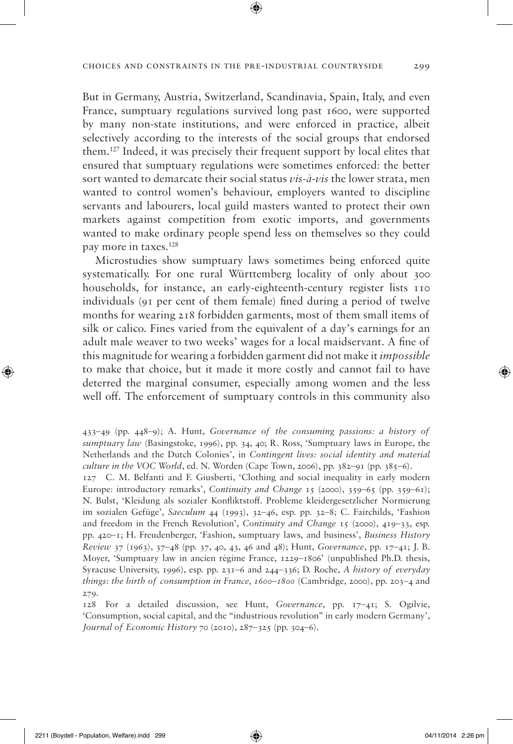But in Germany, Austria, Switzerland, Scandinavia, Spain, Italy, and even France, sumptuary regulations survived long past 1600, were supported by many non-state institutions, and were enforced in practice, albeit selectively according to the interests of the social groups that endorsed them.127 Indeed, it was precisely their frequent support by local elites that ensured that sumptuary regulations were sometimes enforced: the better sort wanted to demarcate their social status *vis-à-vis* the lower strata, men wanted to control women's behaviour, employers wanted to discipline servants and labourers, local guild masters wanted to protect their own markets against competition from exotic imports, and governments wanted to make ordinary people spend less on themselves so they could pay more in taxes.128

Microstudies show sumptuary laws sometimes being enforced quite systematically. For one rural Württemberg locality of only about 300 households, for instance, an early-eighteenth-century register lists 110 individuals (91 per cent of them female) fined during a period of twelve months for wearing 218 forbidden garments, most of them small items of silk or calico. Fines varied from the equivalent of a day's earnings for an adult male weaver to two weeks' wages for a local maidservant. A fine of this magnitude for wearing a forbidden garment did not make it *impossible* to make that choice, but it made it more costly and cannot fail to have deterred the marginal consumer, especially among women and the less well off. The enforcement of sumptuary controls in this community also

127 C. M. Belfanti and F. Giusberti, 'Clothing and social inequality in early modern Europe: introductory remarks', *Continuity and Change* 15 (2000), 359–65 (pp. 359–61); N. Bulst, 'Kleidung als sozialer Konfliktstoff. Probleme kleidergesetzlicher Normierung im sozialen Gefüge', *Saeculum* 44 (1993), 32–46, esp. pp. 32–8; C. Fairchilds, 'Fashion and freedom in the French Revolution', *Continuity and Change* 15 (2000), 419–33, esp. pp. 420–1; H. Freudenberger, 'Fashion, sumptuary laws, and business', *Business History Review* 37 (1963), 37–48 (pp. 37, 40, 43, 46 and 48); Hunt, *Governance*, pp. 17–41; J. B. Moyer, 'Sumptuary law in ancien régime France, 1229–1806' (unpublished Ph.D. thesis, Syracuse University, 1996), esp. pp. 231–6 and 244–336; D. Roche, *A history of everyday things: the birth of consumption in France, 1600–1800* (Cambridge, 2000), pp. 203–4 and 279.

128 For a detailed discussion, see Hunt, *Governance*, pp. 17–41; S. Ogilvie, 'Consumption, social capital, and the "industrious revolution" in early modern Germany', *Journal of Economic History* 70 (2010), 287–325 (pp. 304–6).

◈

<sup>433–49 (</sup>pp. 448–9); A. Hunt, *Governance of the consuming passions: a history of sumptuary law* (Basingstoke, 1996), pp. 34, 40; R. Ross, 'Sumptuary laws in Europe, the Netherlands and the Dutch Colonies', in *Contingent lives: social identity and material culture in the VOC World*, ed. N. Worden (Cape Town, 2006), pp.  $382-91$  (pp.  $385-6$ ).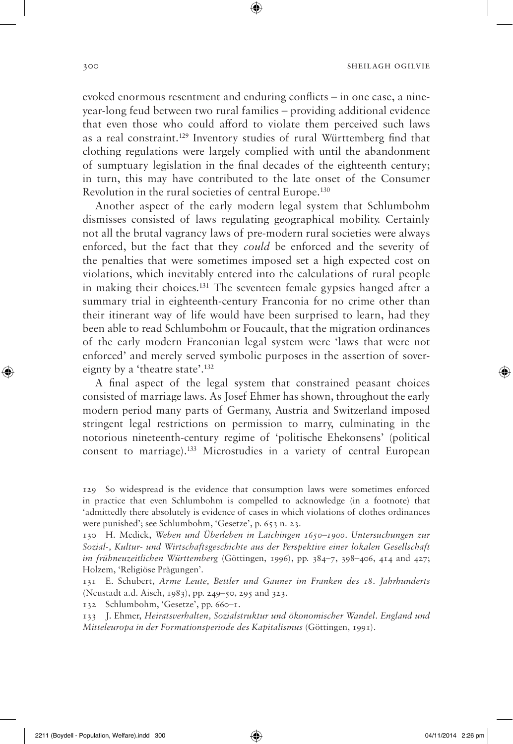evoked enormous resentment and enduring conflicts – in one case, a nineyear-long feud between two rural families – providing additional evidence that even those who could afford to violate them perceived such laws as a real constraint.129 Inventory studies of rural Württemberg find that clothing regulations were largely complied with until the abandonment of sumptuary legislation in the final decades of the eighteenth century; in turn, this may have contributed to the late onset of the Consumer Revolution in the rural societies of central Europe.130

Another aspect of the early modern legal system that Schlumbohm dismisses consisted of laws regulating geographical mobility. Certainly not all the brutal vagrancy laws of pre-modern rural societies were always enforced, but the fact that they *could* be enforced and the severity of the penalties that were sometimes imposed set a high expected cost on violations, which inevitably entered into the calculations of rural people in making their choices.131 The seventeen female gypsies hanged after a summary trial in eighteenth-century Franconia for no crime other than their itinerant way of life would have been surprised to learn, had they been able to read Schlumbohm or Foucault, that the migration ordinances of the early modern Franconian legal system were 'laws that were not enforced' and merely served symbolic purposes in the assertion of sovereignty by a 'theatre state'.132

A final aspect of the legal system that constrained peasant choices consisted of marriage laws. As Josef Ehmer has shown, throughout the early modern period many parts of Germany, Austria and Switzerland imposed stringent legal restrictions on permission to marry, culminating in the notorious nineteenth-century regime of 'politische Ehekonsens' (political consent to marriage).133 Microstudies in a variety of central European

129 So widespread is the evidence that consumption laws were sometimes enforced in practice that even Schlumbohm is compelled to acknowledge (in a footnote) that 'admittedly there absolutely is evidence of cases in which violations of clothes ordinances were punished'; see Schlumbohm, 'Gesetze', p. 653 n. 23.

130 H. Medick, *Weben und Überleben in Laichingen 1650–1900. Untersuchungen zur Sozial-, Kultur- und Wirtschaftsgeschichte aus der Perspektive einer lokalen Gesellschaft im frühneuzeitlichen Württemberg* (Göttingen, 1996), pp. 384–7, 398–406, 414 and 427; Holzem, 'Religiöse Prägungen'.

131 E. Schubert, *Arme Leute, Bettler und Gauner im Franken des 18. Jahrhunderts* (Neustadt a.d. Aisch, 1983), pp. 249–50, 295 and 323.

132 Schlumbohm, 'Gesetze', pp. 660–1.

133 J. Ehmer, *Heiratsverhalten, Sozialstruktur und ökonomischer Wandel. England und Mitteleuropa in der Formationsperiode des Kapitalismus* (Göttingen, 1991).

◈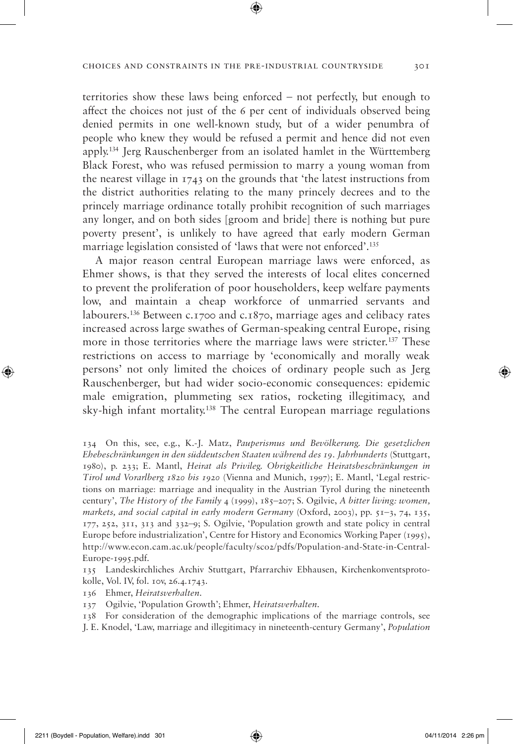territories show these laws being enforced – not perfectly, but enough to affect the choices not just of the 6 per cent of individuals observed being denied permits in one well-known study, but of a wider penumbra of people who knew they would be refused a permit and hence did not even apply.134 Jerg Rauschenberger from an isolated hamlet in the Württemberg Black Forest, who was refused permission to marry a young woman from the nearest village in 1743 on the grounds that 'the latest instructions from the district authorities relating to the many princely decrees and to the princely marriage ordinance totally prohibit recognition of such marriages any longer, and on both sides [groom and bride] there is nothing but pure poverty present', is unlikely to have agreed that early modern German marriage legislation consisted of 'laws that were not enforced'.135

A major reason central European marriage laws were enforced, as Ehmer shows, is that they served the interests of local elites concerned to prevent the proliferation of poor householders, keep welfare payments low, and maintain a cheap workforce of unmarried servants and labourers.136 Between c.1700 and c.1870, marriage ages and celibacy rates increased across large swathes of German-speaking central Europe, rising more in those territories where the marriage laws were stricter.137 These restrictions on access to marriage by 'economically and morally weak persons' not only limited the choices of ordinary people such as Jerg Rauschenberger, but had wider socio-economic consequences: epidemic male emigration, plummeting sex ratios, rocketing illegitimacy, and sky-high infant mortality.138 The central European marriage regulations

135 Landeskirchliches Archiv Stuttgart, Pfarrarchiv Ebhausen, Kirchenkonventsprotokolle, Vol. IV, fol. 10v, 26.4.1743.

136 Ehmer, *Heiratsverhalten*.

137 Ogilvie, 'Population Growth'; Ehmer, *Heiratsverhalten*.

138 For consideration of the demographic implications of the marriage controls, see

J. E. Knodel, 'Law, marriage and illegitimacy in nineteenth-century Germany', *Population* 

<sup>134</sup> On this, see, e.g., K.-J. Matz, *Pauperismus und Bevölkerung. Die gesetzlichen Ehebeschränkungen in den süddeutschen Staaten während des 19. Jahrhunderts* (Stuttgart, 1980), p. 233; E. Mantl, *Heirat als Privileg. Obrigkeitliche Heiratsbeschränkungen in Tirol und Vorarlberg 1820 bis 1920* (Vienna and Munich, 1997); E. Mantl, 'Legal restrictions on marriage: marriage and inequality in the Austrian Tyrol during the nineteenth century', *The History of the Family* 4 (1999), 185–207; S. Ogilvie, *A bitter living: women, markets, and social capital in early modern Germany* (Oxford, 2003), pp. 51–3, 74, 135, 177, 252, 311, 313 and 332–9; S. Ogilvie, 'Population growth and state policy in central Europe before industrialization', Centre for History and Economics Working Paper (1995), http://www.econ.cam.ac.uk/people/faculty/sco2/pdfs/Population-and-State-in-Central-Europe-1995.pdf.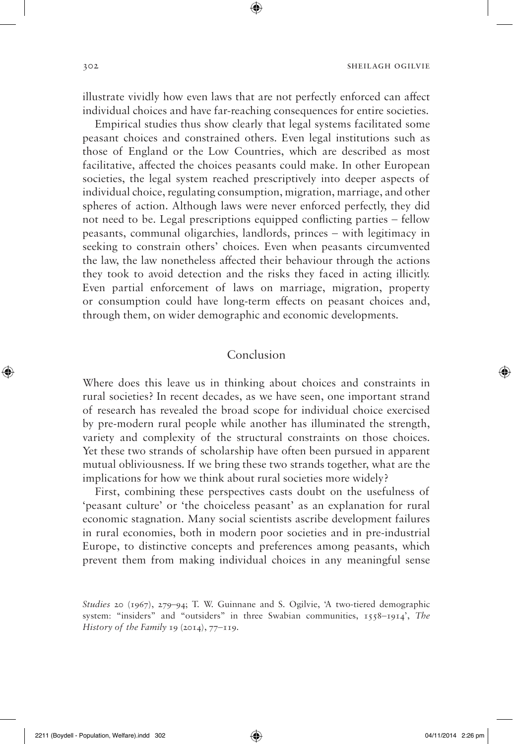illustrate vividly how even laws that are not perfectly enforced can affect individual choices and have far-reaching consequences for entire societies.

⊕

Empirical studies thus show clearly that legal systems facilitated some peasant choices and constrained others. Even legal institutions such as those of England or the Low Countries, which are described as most facilitative, affected the choices peasants could make. In other European societies, the legal system reached prescriptively into deeper aspects of individual choice, regulating consumption, migration, marriage, and other spheres of action. Although laws were never enforced perfectly, they did not need to be. Legal prescriptions equipped conflicting parties – fellow peasants, communal oligarchies, landlords, princes – with legitimacy in seeking to constrain others' choices. Even when peasants circumvented the law, the law nonetheless affected their behaviour through the actions they took to avoid detection and the risks they faced in acting illicitly. Even partial enforcement of laws on marriage, migration, property or consumption could have long-term effects on peasant choices and, through them, on wider demographic and economic developments.

## Conclusion

Where does this leave us in thinking about choices and constraints in rural societies? In recent decades, as we have seen, one important strand of research has revealed the broad scope for individual choice exercised by pre-modern rural people while another has illuminated the strength, variety and complexity of the structural constraints on those choices. Yet these two strands of scholarship have often been pursued in apparent mutual obliviousness. If we bring these two strands together, what are the implications for how we think about rural societies more widely?

First, combining these perspectives casts doubt on the usefulness of 'peasant culture' or 'the choiceless peasant' as an explanation for rural economic stagnation. Many social scientists ascribe development failures in rural economies, both in modern poor societies and in pre-industrial Europe, to distinctive concepts and preferences among peasants, which prevent them from making individual choices in any meaningful sense

*Studies* 20 (1967), 279–94; T. W. Guinnane and S. Ogilvie, 'A two-tiered demographic system: "insiders" and "outsiders" in three Swabian communities, 1558–1914', *The History of the Family* 19 (2014), 77–119.

 $\bigoplus$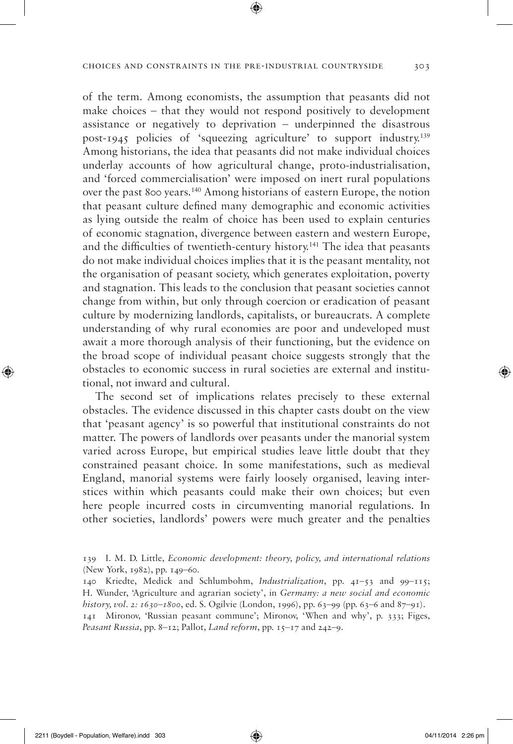of the term. Among economists, the assumption that peasants did not make choices – that they would not respond positively to development assistance or negatively to deprivation – underpinned the disastrous post-1945 policies of 'squeezing agriculture' to support industry.139 Among historians, the idea that peasants did not make individual choices underlay accounts of how agricultural change, proto-industrialisation, and 'forced commercialisation' were imposed on inert rural populations over the past 800 years.140 Among historians of eastern Europe, the notion that peasant culture defined many demographic and economic activities as lying outside the realm of choice has been used to explain centuries of economic stagnation, divergence between eastern and western Europe, and the difficulties of twentieth-century history.141 The idea that peasants do not make individual choices implies that it is the peasant mentality, not the organisation of peasant society, which generates exploitation, poverty and stagnation. This leads to the conclusion that peasant societies cannot change from within, but only through coercion or eradication of peasant culture by modernizing landlords, capitalists, or bureaucrats. A complete understanding of why rural economies are poor and undeveloped must await a more thorough analysis of their functioning, but the evidence on the broad scope of individual peasant choice suggests strongly that the obstacles to economic success in rural societies are external and institutional, not inward and cultural.

The second set of implications relates precisely to these external obstacles. The evidence discussed in this chapter casts doubt on the view that 'peasant agency' is so powerful that institutional constraints do not matter. The powers of landlords over peasants under the manorial system varied across Europe, but empirical studies leave little doubt that they constrained peasant choice. In some manifestations, such as medieval England, manorial systems were fairly loosely organised, leaving interstices within which peasants could make their own choices; but even here people incurred costs in circumventing manorial regulations. In other societies, landlords' powers were much greater and the penalties

*Peasant Russia*, pp. 8–12; Pallot, *Land reform*, pp. 15–17 and 242–9.

◈

<sup>139</sup> I. M. D. Little, *Economic development: theory, policy, and international relations* (New York, 1982), pp. 149–60.

<sup>140</sup> Kriedte, Medick and Schlumbohm, *Industrialization*, pp. 41–53 and 99–115; H. Wunder, 'Agriculture and agrarian society', in *Germany: a new social and economic history, vol. 2: 1630–1800*, ed. S. Ogilvie (London, 1996), pp. 63–99 (pp. 63–6 and 87–91). 141 Mironov, 'Russian peasant commune'; Mironov, 'When and why', p. 333; Figes,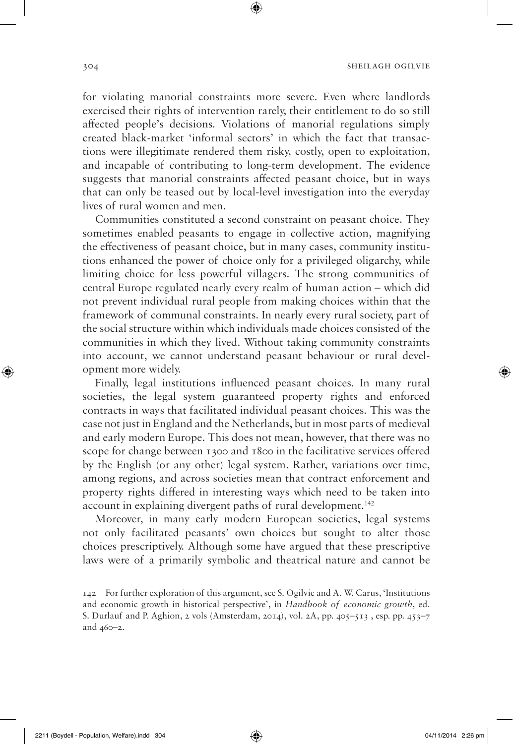for violating manorial constraints more severe. Even where landlords exercised their rights of intervention rarely, their entitlement to do so still affected people's decisions. Violations of manorial regulations simply created black-market 'informal sectors' in which the fact that transactions were illegitimate rendered them risky, costly, open to exploitation, and incapable of contributing to long-term development. The evidence suggests that manorial constraints affected peasant choice, but in ways that can only be teased out by local-level investigation into the everyday lives of rural women and men.

⊕

Communities constituted a second constraint on peasant choice. They sometimes enabled peasants to engage in collective action, magnifying the effectiveness of peasant choice, but in many cases, community institutions enhanced the power of choice only for a privileged oligarchy, while limiting choice for less powerful villagers. The strong communities of central Europe regulated nearly every realm of human action – which did not prevent individual rural people from making choices within that the framework of communal constraints. In nearly every rural society, part of the social structure within which individuals made choices consisted of the communities in which they lived. Without taking community constraints into account, we cannot understand peasant behaviour or rural development more widely.

Finally, legal institutions influenced peasant choices. In many rural societies, the legal system guaranteed property rights and enforced contracts in ways that facilitated individual peasant choices. This was the case not just in England and the Netherlands, but in most parts of medieval and early modern Europe. This does not mean, however, that there was no scope for change between 1300 and 1800 in the facilitative services offered by the English (or any other) legal system. Rather, variations over time, among regions, and across societies mean that contract enforcement and property rights differed in interesting ways which need to be taken into account in explaining divergent paths of rural development.<sup>142</sup>

Moreover, in many early modern European societies, legal systems not only facilitated peasants' own choices but sought to alter those choices prescriptively. Although some have argued that these prescriptive laws were of a primarily symbolic and theatrical nature and cannot be

◈

<sup>142</sup> For further exploration of this argument, see S. Ogilvie and A. W. Carus, 'Institutions and economic growth in historical perspective', in *Handbook of economic growth*, ed. S. Durlauf and P. Aghion, 2 vols (Amsterdam, 2014), vol. 2A, pp.  $405-513$ , esp. pp.  $453-7$ and 460–2.